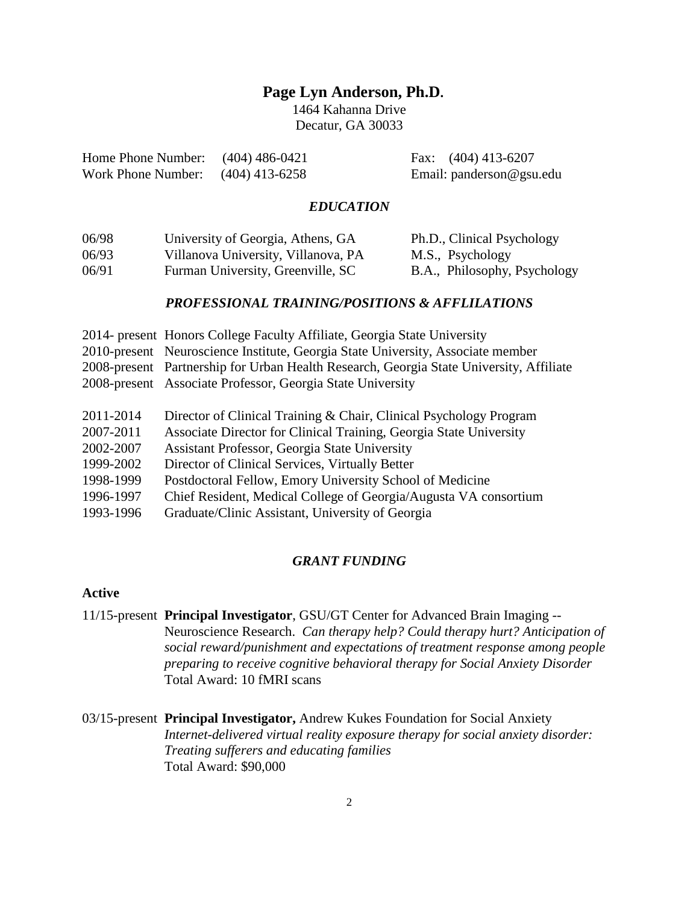# **Page Lyn Anderson, Ph.D.**

1464 Kahanna Drive Decatur, GA 30033

| Home Phone Number: $(404)$ 486-0421 | Fax: $(404)$ 413-6207       |
|-------------------------------------|-----------------------------|
| Work Phone Number: $(404)$ 413-6258 | Email: $p$ anderson@gsu.edu |

#### *EDUCATION*

| 06/98 | University of Georgia, Athens, GA   | Ph.D., Clinical Psychology   |
|-------|-------------------------------------|------------------------------|
| 06/93 | Villanova University, Villanova, PA | M.S., Psychology             |
| 06/91 | Furman University, Greenville, SC   | B.A., Philosophy, Psychology |

### *PROFESSIONAL TRAINING/POSITIONS & AFFLILATIONS*

| 2014- present Honors College Faculty Affiliate, Georgia State University                |
|-----------------------------------------------------------------------------------------|
| 2010-present Neuroscience Institute, Georgia State University, Associate member         |
| 2008-present Partnership for Urban Health Research, Georgia State University, Affiliate |
| 2008-present Associate Professor, Georgia State University                              |
|                                                                                         |
| Director of Clinical Training & Chair, Clinical Psychology Program                      |
| Associate Director for Clinical Training, Georgia State University                      |
| <b>Assistant Professor, Georgia State University</b>                                    |
| Director of Clinical Services, Virtually Better                                         |
| Postdoctoral Fellow, Emory University School of Medicine                                |
| Chief Resident, Medical College of Georgia/Augusta VA consortium                        |
| Graduate/Clinic Assistant, University of Georgia                                        |
|                                                                                         |

# *GRANT FUNDING*

# **Active**

11/15-present **Principal Investigator**, GSU/GT Center for Advanced Brain Imaging -- Neuroscience Research. *Can therapy help? Could therapy hurt? Anticipation of social reward/punishment and expectations of treatment response among people preparing to receive cognitive behavioral therapy for Social Anxiety Disorder* Total Award: 10 fMRI scans

<sup>03/15-</sup>present **Principal Investigator,** Andrew Kukes Foundation for Social Anxiety *Internet-delivered virtual reality exposure therapy for social anxiety disorder: Treating sufferers and educating families* Total Award: \$90,000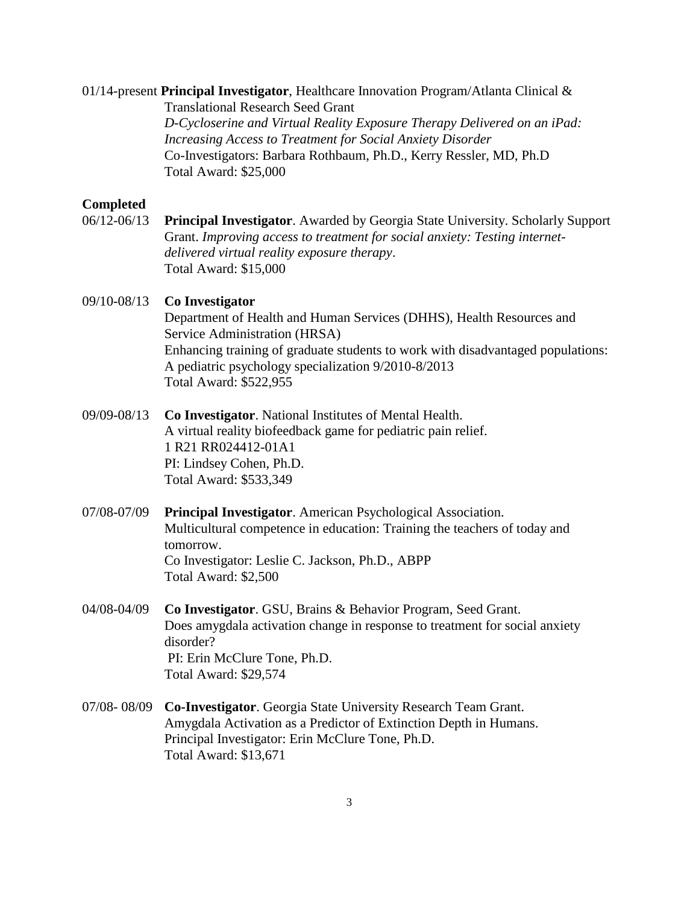#### 01/14-present **Principal Investigator**, Healthcare Innovation Program/Atlanta Clinical &

Translational Research Seed Grant *D-Cycloserine and Virtual Reality Exposure Therapy Delivered on an iPad: Increasing Access to Treatment for Social Anxiety Disorder* Co-Investigators: Barbara Rothbaum, Ph.D., Kerry Ressler, MD, Ph.D Total Award: \$25,000

### **Completed**

06/12-06/13 **Principal Investigator**. Awarded by Georgia State University. Scholarly Support Grant. *Improving access to treatment for social anxiety: Testing internetdelivered virtual reality exposure therapy*. Total Award: \$15,000

## 09/10-08/13 **Co Investigator**

Department of Health and Human Services (DHHS), Health Resources and Service Administration (HRSA) Enhancing training of graduate students to work with disadvantaged populations: A pediatric psychology specialization 9/2010-8/2013 Total Award: \$522,955

- 09/09-08/13 **Co Investigator**. National Institutes of Mental Health. A virtual reality biofeedback game for pediatric pain relief. 1 R21 RR024412-01A1 PI: Lindsey Cohen, Ph.D. Total Award: \$533,349
- 07/08-07/09 **Principal Investigator**. American Psychological Association. Multicultural competence in education: Training the teachers of today and tomorrow. Co Investigator: Leslie C. Jackson, Ph.D., ABPP Total Award: \$2,500
- 04/08-04/09 **Co Investigator**. GSU, Brains & Behavior Program, Seed Grant. Does amygdala activation change in response to treatment for social anxiety disorder? PI: Erin McClure Tone, Ph.D. Total Award: \$29,574
- 07/08- 08/09 **Co-Investigator**. Georgia State University Research Team Grant. Amygdala Activation as a Predictor of Extinction Depth in Humans. Principal Investigator: Erin McClure Tone, Ph.D. Total Award: \$13,671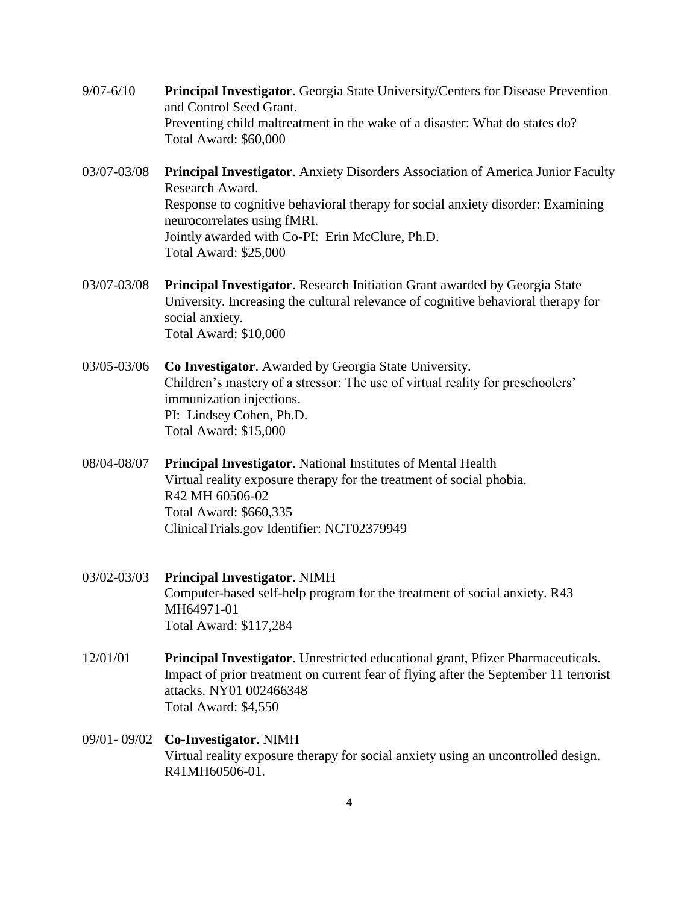- 9/07-6/10 **Principal Investigator**. Georgia State University/Centers for Disease Prevention and Control Seed Grant. Preventing child maltreatment in the wake of a disaster: What do states do? Total Award: \$60,000
- 03/07-03/08 **Principal Investigator**. Anxiety Disorders Association of America Junior Faculty Research Award. Response to cognitive behavioral therapy for social anxiety disorder: Examining neurocorrelates using fMRI. Jointly awarded with Co-PI: Erin McClure, Ph.D. Total Award: \$25,000
- 03/07-03/08 **Principal Investigator**. Research Initiation Grant awarded by Georgia State University. Increasing the cultural relevance of cognitive behavioral therapy for social anxiety. Total Award: \$10,000
- 03/05-03/06 **Co Investigator**. Awarded by Georgia State University. Children's mastery of a stressor: The use of virtual reality for preschoolers' immunization injections. PI: Lindsey Cohen, Ph.D. Total Award: \$15,000
- 08/04-08/07 **Principal Investigator**. National Institutes of Mental Health Virtual reality exposure therapy for the treatment of social phobia. R42 MH 60506-02 Total Award: \$660,335 ClinicalTrials.gov Identifier: NCT02379949
- 03/02-03/03 **Principal Investigator**. NIMH Computer-based self-help program for the treatment of social anxiety. R43 MH64971-01 Total Award: \$117,284
- 12/01/01 **Principal Investigator**. Unrestricted educational grant, Pfizer Pharmaceuticals. Impact of prior treatment on current fear of flying after the September 11 terrorist attacks. NY01 002466348 Total Award: \$4,550
- 09/01- 09/02 **Co-Investigator**. NIMH Virtual reality exposure therapy for social anxiety using an uncontrolled design. R41MH60506-01.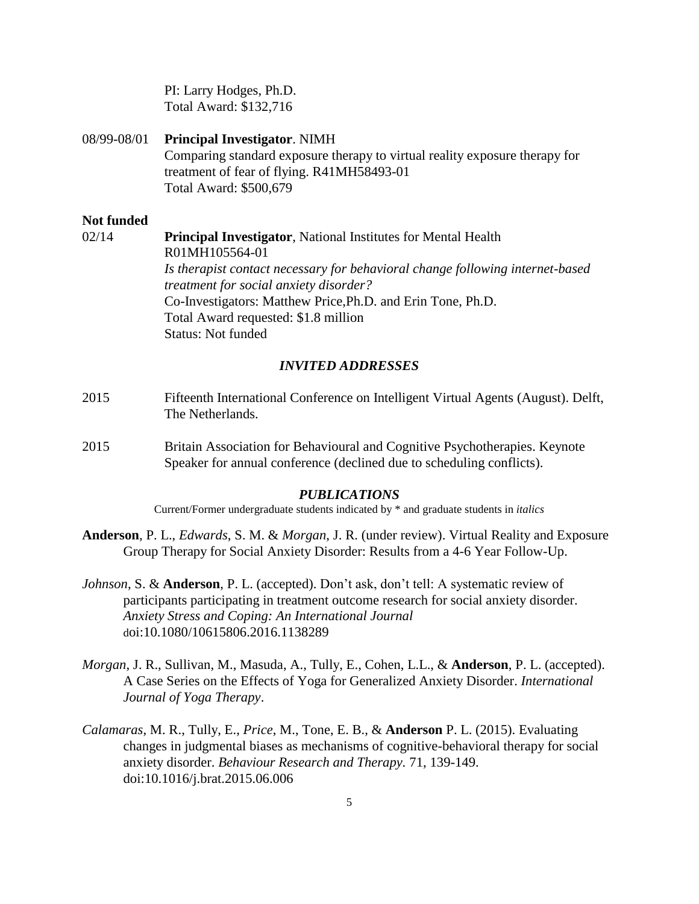PI: Larry Hodges, Ph.D. Total Award: \$132,716

#### 08/99-08/01 **Principal Investigator**. NIMH

Comparing standard exposure therapy to virtual reality exposure therapy for treatment of fear of flying. R41MH58493-01 Total Award: \$500,679

#### **Not funded**

02/14 **Principal Investigator**, National Institutes for Mental Health R01MH105564-01 *Is therapist contact necessary for behavioral change following internet-based treatment for social anxiety disorder?* Co-Investigators: Matthew Price,Ph.D. and Erin Tone, Ph.D. Total Award requested: \$1.8 million Status: Not funded

### *INVITED ADDRESSES*

- 2015 Fifteenth International Conference on Intelligent Virtual Agents (August). Delft, The Netherlands.
- 2015 Britain Association for Behavioural and Cognitive Psychotherapies. Keynote Speaker for annual conference (declined due to scheduling conflicts).

#### *PUBLICATIONS*

Current/Former undergraduate students indicated by \* and graduate students in *italics*

- **Anderson**, P. L., *Edwards*, S. M. & *Morgan*, J. R. (under review). Virtual Reality and Exposure Group Therapy for Social Anxiety Disorder: Results from a 4-6 Year Follow-Up.
- *Johnson*, S. & **Anderson**, P. L. (accepted). Don't ask, don't tell: A systematic review of participants participating in treatment outcome research for social anxiety disorder. *Anxiety Stress and Coping: An International Journal* doi:10.1080/10615806.2016.1138289
- *Morgan*, J. R., Sullivan, M., Masuda, A., Tully, E., Cohen, L.L., & **Anderson**, P. L. (accepted). A Case Series on the Effects of Yoga for Generalized Anxiety Disorder. *International Journal of Yoga Therapy*.
- *Calamaras*, M. R., Tully, E., *Price*, M., Tone, E. B., & **Anderson** P. L. (2015). Evaluating changes in judgmental biases as mechanisms of cognitive-behavioral therapy for social anxiety disorder. *Behaviour Research and Therapy.* 71, 139-149. doi:10.1016/j.brat.2015.06.006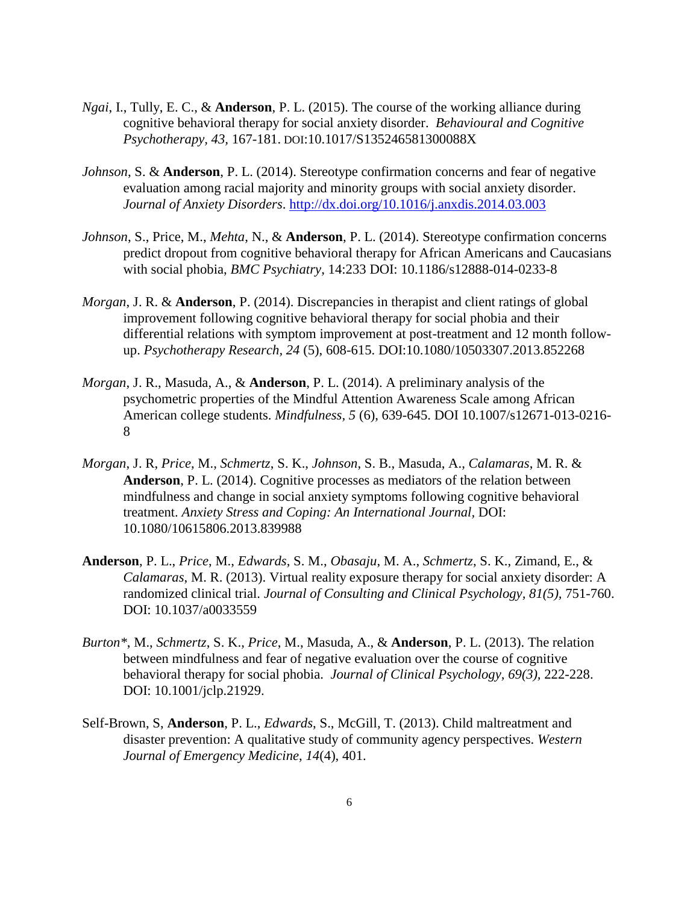- *Ngai*, I., Tully, E. C., & **Anderson**, P. L. (2015). The course of the working alliance during cognitive behavioral therapy for social anxiety disorder. *Behavioural and Cognitive Psychotherapy, 43,* 167-181. DOI:10.1017/S135246581300088X
- *Johnson*, S. & **Anderson**, P. L. (2014). Stereotype confirmation concerns and fear of negative evaluation among racial majority and minority groups with social anxiety disorder. *Journal of Anxiety Disorders*.<http://dx.doi.org/10.1016/j.anxdis.2014.03.003>
- *Johnson*, S., Price, M., *Mehta*, N., & **Anderson**, P. L. (2014). Stereotype confirmation concerns predict dropout from cognitive behavioral therapy for African Americans and Caucasians with social phobia, *BMC Psychiatry*, 14:233 DOI: 10.1186/s12888-014-0233-8
- *Morgan*, J. R. & **Anderson**, P. (2014). Discrepancies in therapist and client ratings of global improvement following cognitive behavioral therapy for social phobia and their differential relations with symptom improvement at post-treatment and 12 month followup. *Psychotherapy Research, 24* (5), 608-615. DOI:10.1080/10503307.2013.852268
- *Morgan*, J. R., Masuda, A., & **Anderson**, P. L. (2014). A preliminary analysis of the psychometric properties of the Mindful Attention Awareness Scale among African American college students. *Mindfulness, 5* (6), 639-645. DOI 10.1007/s12671-013-0216- 8
- *Morgan*, J. R, *Price*, M., *Schmertz*, S. K., *Johnson*, S. B., Masuda, A., *Calamaras*, M. R. & **Anderson**, P. L. (2014). Cognitive processes as mediators of the relation between mindfulness and change in social anxiety symptoms following cognitive behavioral treatment. *Anxiety Stress and Coping: An International Journal,* DOI: 10.1080/10615806.2013.839988
- **Anderson**, P. L., *Price*, M., *Edwards*, S. M., *Obasaju*, M. A., *Schmertz*, S. K., Zimand, E., & *Calamaras*, M. R. (2013). Virtual reality exposure therapy for social anxiety disorder: A randomized clinical trial. *Journal of Consulting and Clinical Psychology, 81(5),* 751-760. DOI: 10.1037/a0033559
- *Burton\**, M., *Schmertz*, S. K., *Price*, M., Masuda, A., & **Anderson**, P. L. (2013). The relation between mindfulness and fear of negative evaluation over the course of cognitive behavioral therapy for social phobia. *Journal of Clinical Psychology, 69(3),* 222-228. DOI: 10.1001/jclp.21929.
- Self-Brown, S, **Anderson**, P. L., *Edwards*, S., McGill*,* T. (2013). Child maltreatment and disaster prevention: A qualitative study of community agency perspectives. *Western Journal of Emergency Medicine*, *14*(4), 401.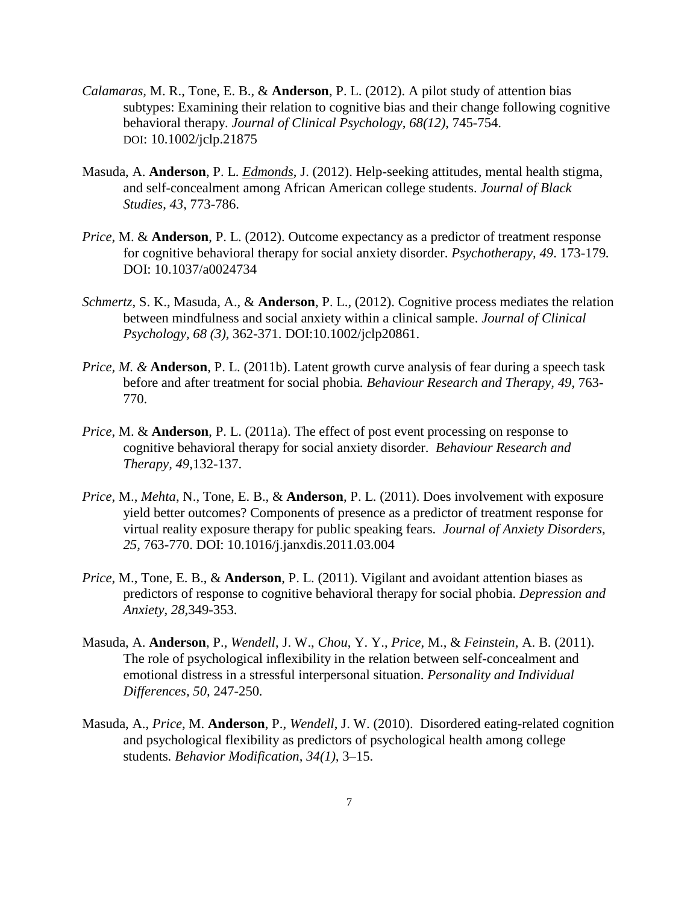- *Calamaras,* M. R., Tone, E. B., & **Anderson**, P. L. (2012). A pilot study of attention bias subtypes: Examining their relation to cognitive bias and their change following cognitive behavioral therapy. *Journal of Clinical Psychology, 68(12)*, 745-754. DOI: 10.1002/jclp.21875
- Masuda, A. **Anderson**, P. L. *Edmonds*, J. (2012). Help-seeking attitudes, mental health stigma, and self-concealment among African American college students. *Journal of Black Studies*, *43*, 773-786.
- *Price*, M. & **Anderson**, P. L. (2012). Outcome expectancy as a predictor of treatment response for cognitive behavioral therapy for social anxiety disorder. *Psychotherapy, 49*. 173-179*.*  DOI: 10.1037/a0024734
- *Schmertz*, S. K., Masuda, A., & **Anderson**, P. L., (2012). Cognitive process mediates the relation between mindfulness and social anxiety within a clinical sample. *Journal of Clinical Psychology, 68 (3),* 362-371. DOI:10.1002/jclp20861.
- *Price, M. &* **Anderson**, P. L. (2011b). Latent growth curve analysis of fear during a speech task before and after treatment for social phobia*. Behaviour Research and Therapy, 49*, 763- 770.
- *Price*, M. & **Anderson**, P. L. (2011a). The effect of post event processing on response to cognitive behavioral therapy for social anxiety disorder. *Behaviour Research and Therapy, 49,*132-137.
- *Price*, M., *Mehta*, N., Tone, E. B., & **Anderson**, P. L. (2011). Does involvement with exposure yield better outcomes? Components of presence as a predictor of treatment response for virtual reality exposure therapy for public speaking fears. *Journal of Anxiety Disorders, 25,* 763-770. DOI: 10.1016/j.janxdis.2011.03.004
- *Price*, M., Tone, E. B., & **Anderson**, P. L. (2011). Vigilant and avoidant attention biases as predictors of response to cognitive behavioral therapy for social phobia. *Depression and Anxiety, 28,*349-353.
- Masuda, A. **Anderson**, P., *Wendell*, J. W., *Chou*, Y. Y., *Price*, M., & *Feinstein*, A. B. (2011). The role of psychological inflexibility in the relation between self-concealment and emotional distress in a stressful interpersonal situation. *Personality and Individual Differences, 50,* 247-250*.*
- Masuda, A., *Price*, M. **Anderson**, P., *Wendell*, J. W. (2010). Disordered eating-related cognition and psychological flexibility as predictors of psychological health among college students*. Behavior Modification, 34(1),* 3–15.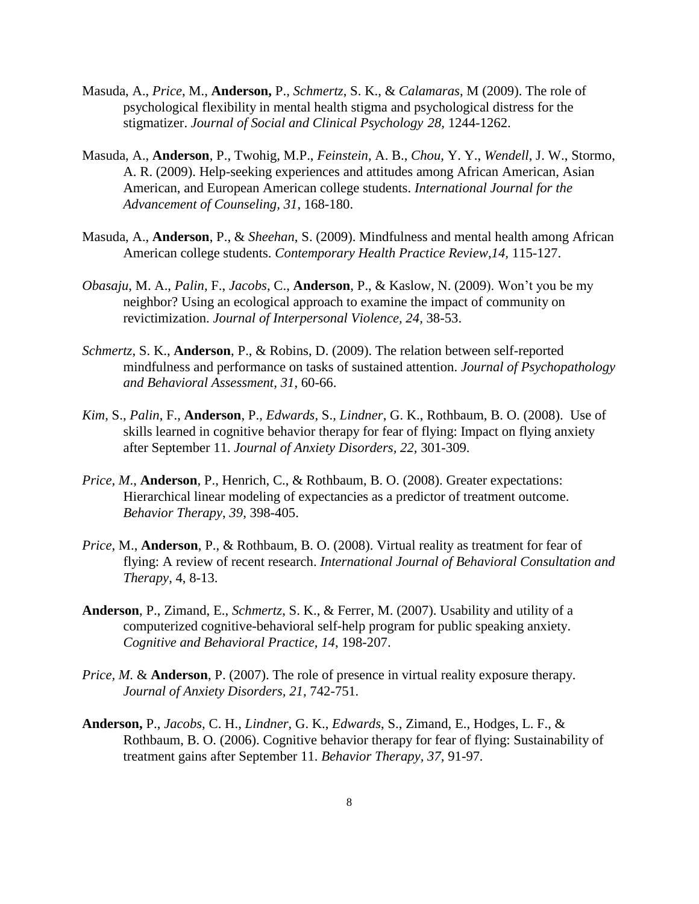- Masuda, A., *Price*, M., **Anderson,** P., *Schmertz*, S. K., & *Calamaras*, M (2009). The role of psychological flexibility in mental health stigma and psychological distress for the stigmatizer. *Journal of Social and Clinical Psychology 28,* 1244-1262.
- Masuda, A., **Anderson**, P., Twohig, M.P., *Feinstein*, A. B., *Chou*, Y. Y., *Wendell*, J. W., Stormo, A. R. (2009). Help-seeking experiences and attitudes among African American, Asian American, and European American college students. *International Journal for the Advancement of Counseling, 31*, 168-180.
- Masuda, A., **Anderson**, P., & *Sheehan*, S. (2009). Mindfulness and mental health among African American college students. *Contemporary Health Practice Review,14,* 115-127.
- *Obasaju*, M. A., *Palin*, F., *Jacobs*, C., **Anderson**, P., & Kaslow, N. (2009). Won't you be my neighbor? Using an ecological approach to examine the impact of community on revictimization. *Journal of Interpersonal Violence, 24,* 38-53.
- *Schmertz,* S. K., **Anderson**, P., & Robins, D. (2009). The relation between self-reported mindfulness and performance on tasks of sustained attention. *Journal of Psychopathology and Behavioral Assessment, 31*, 60-66.
- *Kim*, S., *Palin*, F., **Anderson**, P., *Edwards*, S., *Lindner*, G. K., Rothbaum, B. O. (2008). Use of skills learned in cognitive behavior therapy for fear of flying: Impact on flying anxiety after September 11. *Journal of Anxiety Disorders, 22,* 301-309.
- *Price, M*., **Anderson**, P., Henrich, C., & Rothbaum, B. O. (2008). Greater expectations: Hierarchical linear modeling of expectancies as a predictor of treatment outcome. *Behavior Therapy*, *39*, 398-405.
- *Price*, M., **Anderson**, P., & Rothbaum, B. O. (2008). Virtual reality as treatment for fear of flying: A review of recent research. *International Journal of Behavioral Consultation and Therapy*, 4, 8-13.
- **Anderson**, P., Zimand, E., *Schmertz*, S. K., & Ferrer, M. (2007). Usability and utility of a computerized cognitive-behavioral self-help program for public speaking anxiety. *Cognitive and Behavioral Practice, 14*, 198-207.
- *Price, M.* & **Anderson**, P. (2007). The role of presence in virtual reality exposure therapy. *Journal of Anxiety Disorders, 21,* 742-751*.*
- **Anderson,** P., *Jacobs,* C. H., *Lindner*, G. K., *Edwards*, S., Zimand, E., Hodges, L. F., & Rothbaum, B. O. (2006). Cognitive behavior therapy for fear of flying: Sustainability of treatment gains after September 11. *Behavior Therapy, 37,* 91-97*.*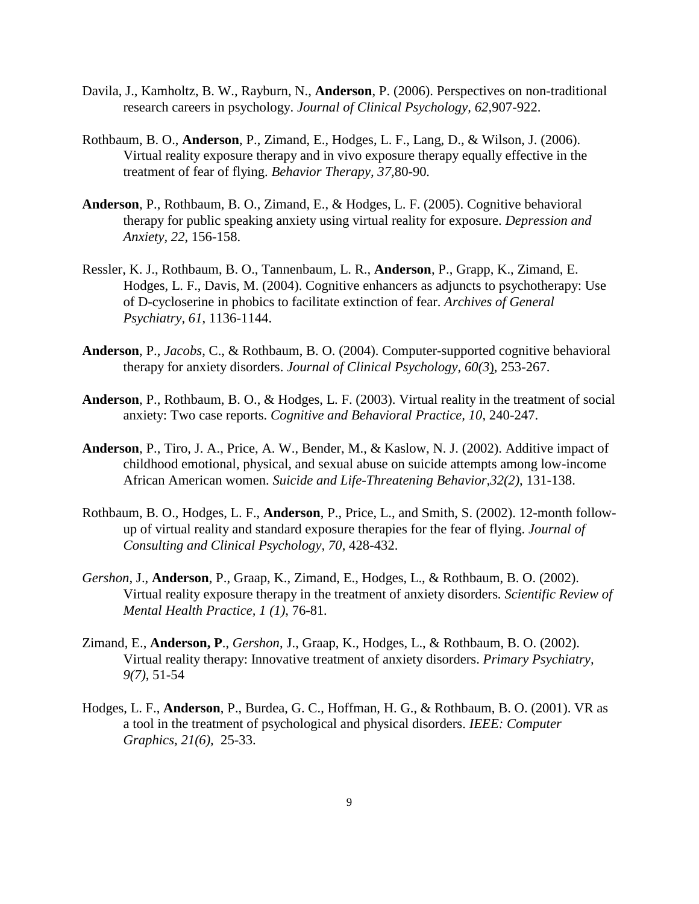- Davila, J., Kamholtz, B. W., Rayburn, N., **Anderson**, P. (2006). Perspectives on non-traditional research careers in psychology. *Journal of Clinical Psychology, 62,*907-922.
- Rothbaum, B. O., **Anderson**, P., Zimand, E., Hodges, L. F., Lang, D., & Wilson, J. (2006). Virtual reality exposure therapy and in vivo exposure therapy equally effective in the treatment of fear of flying. *Behavior Therapy, 37,*80-90*.*
- **Anderson**, P., Rothbaum, B. O., Zimand, E., & Hodges, L. F. (2005). Cognitive behavioral therapy for public speaking anxiety using virtual reality for exposure. *Depression and Anxiety, 22*, 156-158.
- Ressler, K. J., Rothbaum, B. O., Tannenbaum, L. R., **Anderson**, P., Grapp, K., Zimand, E. Hodges, L. F., Davis, M. (2004). Cognitive enhancers as adjuncts to psychotherapy: Use of D-cycloserine in phobics to facilitate extinction of fear. *Archives of General Psychiatry, 61*, 1136-1144.
- **Anderson**, P., *Jacobs*, C., & Rothbaum, B. O. (2004). Computer-supported cognitive behavioral therapy for anxiety disorders. *Journal of Clinical Psychology, 60(3*), 253-267.
- **Anderson**, P., Rothbaum, B. O., & Hodges, L. F. (2003). Virtual reality in the treatment of social anxiety: Two case reports. *Cognitive and Behavioral Practice, 10*, 240-247.
- **Anderson**, P., Tiro, J. A., Price, A. W., Bender, M., & Kaslow, N. J. (2002). Additive impact of childhood emotional, physical, and sexual abuse on suicide attempts among low-income African American women. *Suicide and Life-Threatening Behavior,32(2)*, 131-138.
- Rothbaum, B. O., Hodges, L. F., **Anderson**, P., Price, L., and Smith, S. (2002). 12-month followup of virtual reality and standard exposure therapies for the fear of flying. *Journal of Consulting and Clinical Psychology, 70*, 428-432.
- *Gershon*, J., **Anderson**, P., Graap, K., Zimand, E., Hodges, L., & Rothbaum, B. O. (2002). Virtual reality exposure therapy in the treatment of anxiety disorders*. Scientific Review of Mental Health Practice, 1 (1)*, 76-81*.*
- Zimand, E., **Anderson, P**., *Gershon*, J., Graap, K., Hodges, L., & Rothbaum, B. O. (2002). Virtual reality therapy: Innovative treatment of anxiety disorders. *Primary Psychiatry, 9(7)*, 51-54
- Hodges, L. F., **Anderson**, P., Burdea, G. C., Hoffman, H. G., & Rothbaum, B. O. (2001). VR as a tool in the treatment of psychological and physical disorders. *IEEE: Computer Graphics, 21(6),* 25-33.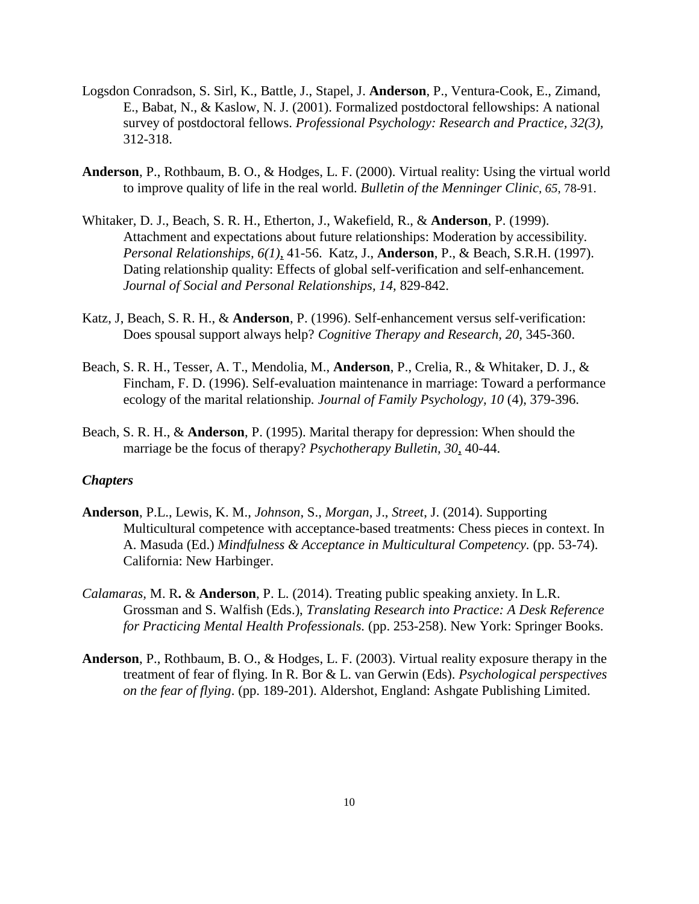- Logsdon Conradson, S. Sirl, K., Battle, J., Stapel, J. **Anderson**, P., Ventura-Cook, E., Zimand, E., Babat, N., & Kaslow, N. J. (2001). Formalized postdoctoral fellowships: A national survey of postdoctoral fellows. *Professional Psychology: Research and Practice, 32(3),* 312-318.
- **Anderson**, P., Rothbaum, B. O., & Hodges, L. F. (2000). Virtual reality: Using the virtual world to improve quality of life in the real world. *Bulletin of the Menninger Clinic, 65*, 78-91.
- Whitaker, D. J., Beach, S. R. H., Etherton, J., Wakefield, R., & **Anderson**, P. (1999). Attachment and expectations about future relationships: Moderation by accessibility. *Personal Relationships, 6(1)*, 41-56. Katz, J., **Anderson**, P., & Beach, S.R.H. (1997). Dating relationship quality: Effects of global self-verification and self-enhancement*. Journal of Social and Personal Relationships, 14,* 829-842.
- Katz, J, Beach, S. R. H., & **Anderson**, P. (1996). Self-enhancement versus self-verification: Does spousal support always help? *Cognitive Therapy and Research, 20,* 345-360.
- Beach, S. R. H., Tesser, A. T., Mendolia, M., **Anderson**, P., Crelia, R., & Whitaker, D. J., & Fincham, F. D. (1996). Self-evaluation maintenance in marriage: Toward a performance ecology of the marital relationship*. Journal of Family Psychology, 10* (4), 379-396.
- Beach, S. R. H., & **Anderson**, P. (1995). Marital therapy for depression: When should the marriage be the focus of therapy? *Psychotherapy Bulletin, 30*, 40-44.

## *Chapters*

- **Anderson**, P.L., Lewis, K. M., *Johnson*, S., *Morgan*, J., *Street*, J. (2014). Supporting Multicultural competence with acceptance-based treatments: Chess pieces in context. In A. Masuda (Ed.) *Mindfulness & Acceptance in Multicultural Competency.* (pp. 53-74). California: New Harbinger.
- *Calamaras,* M. R**.** & **Anderson**, P. L. (2014). Treating public speaking anxiety. In L.R. Grossman and S. Walfish (Eds.), *Translating Research into Practice: A Desk Reference for Practicing Mental Health Professionals.* (pp. 253-258). New York: Springer Books.
- **Anderson**, P., Rothbaum, B. O., & Hodges, L. F. (2003). Virtual reality exposure therapy in the treatment of fear of flying. In R. Bor & L. van Gerwin (Eds). *Psychological perspectives on the fear of flying*. (pp. 189-201). Aldershot, England: Ashgate Publishing Limited.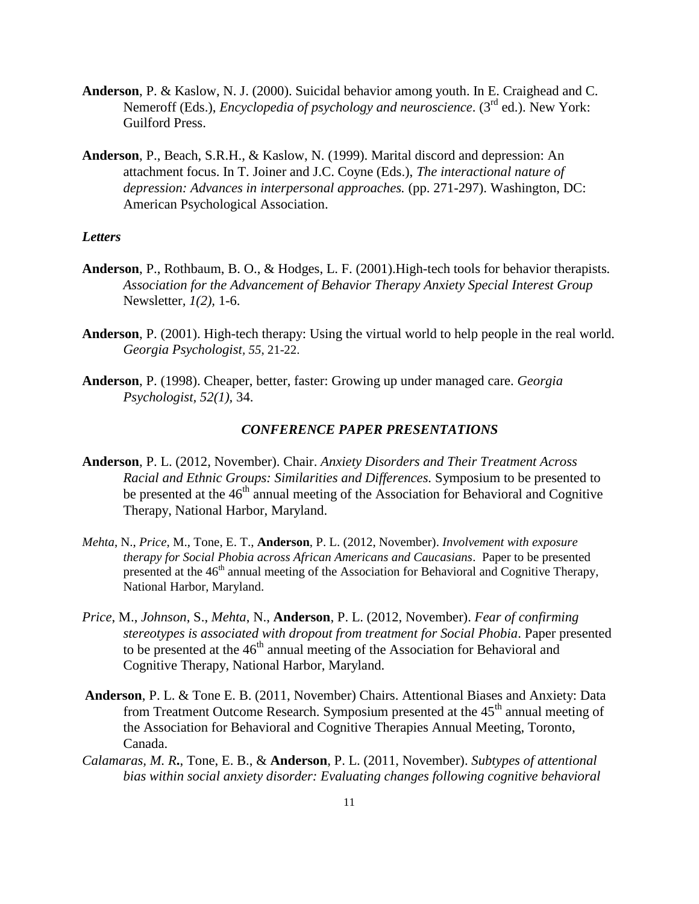- **Anderson**, P. & Kaslow, N. J. (2000). Suicidal behavior among youth. In E. Craighead and C. Nemeroff (Eds.), *Encyclopedia of psychology and neuroscience*. (3rd ed.). New York: Guilford Press.
- **Anderson**, P., Beach, S.R.H., & Kaslow, N. (1999). Marital discord and depression: An attachment focus. In T. Joiner and J.C. Coyne (Eds.), *The interactional nature of depression: Advances in interpersonal approaches.* (pp. 271-297). Washington, DC: American Psychological Association.

#### *Letters*

- **Anderson**, P., Rothbaum, B. O., & Hodges, L. F. (2001).High-tech tools for behavior therapists*. Association for the Advancement of Behavior Therapy Anxiety Special Interest Group*  Newsletter*, 1(2),* 1-6.
- **Anderson**, P. (2001). High-tech therapy: Using the virtual world to help people in the real world. *Georgia Psychologist, 55*, 21-22.
- **Anderson**, P. (1998). Cheaper, better, faster: Growing up under managed care. *Georgia Psychologist, 52(1),* 34.

### *CONFERENCE PAPER PRESENTATIONS*

- **Anderson**, P. L. (2012, November). Chair. *Anxiety Disorders and Their Treatment Across Racial and Ethnic Groups: Similarities and Differences.* Symposium to be presented to be presented at the  $46<sup>th</sup>$  annual meeting of the Association for Behavioral and Cognitive Therapy, National Harbor, Maryland.
- *Mehta*, N., *Price*, M., Tone, E. T., **Anderson**, P. L. (2012, November). *Involvement with exposure therapy for Social Phobia across African Americans and Caucasians*. Paper to be presented presented at the 46<sup>th</sup> annual meeting of the Association for Behavioral and Cognitive Therapy, National Harbor, Maryland.
- *Price*, M., *Johnson*, S., *Mehta*, N., **Anderson**, P. L. (2012, November). *Fear of confirming stereotypes is associated with dropout from treatment for Social Phobia*. Paper presented to be presented at the  $46<sup>th</sup>$  annual meeting of the Association for Behavioral and Cognitive Therapy, National Harbor, Maryland.
- **Anderson**, P. L. & Tone E. B. (2011, November) Chairs. Attentional Biases and Anxiety: Data from Treatment Outcome Research. Symposium presented at the  $45<sup>th</sup>$  annual meeting of the Association for Behavioral and Cognitive Therapies Annual Meeting, Toronto, Canada.
- *Calamaras, M. R***.**, Tone, E. B., & **Anderson**, P. L. (2011, November). *Subtypes of attentional bias within social anxiety disorder: Evaluating changes following cognitive behavioral*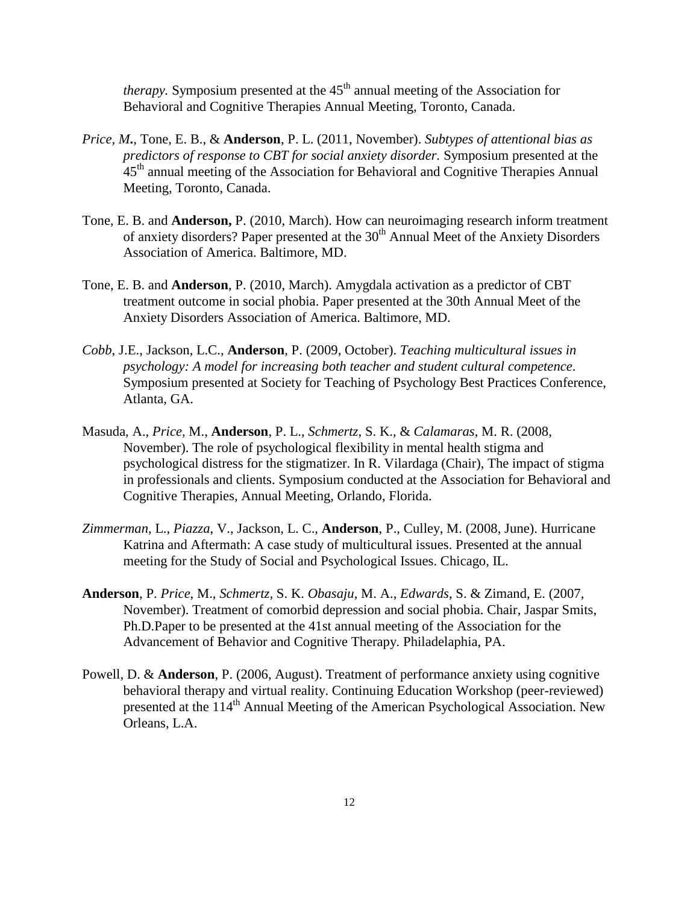*therapy*. Symposium presented at the  $45<sup>th</sup>$  annual meeting of the Association for Behavioral and Cognitive Therapies Annual Meeting, Toronto, Canada.

- *Price, M***.**, Tone, E. B., & **Anderson**, P. L. (2011, November). *Subtypes of attentional bias as predictors of response to CBT for social anxiety disorder.* Symposium presented at the 45<sup>th</sup> annual meeting of the Association for Behavioral and Cognitive Therapies Annual Meeting, Toronto, Canada.
- Tone, E. B. and **Anderson,** P. (2010, March). How can neuroimaging research inform treatment of anxiety disorders? Paper presented at the  $30<sup>th</sup>$  Annual Meet of the Anxiety Disorders Association of America. Baltimore, MD.
- Tone, E. B. and **Anderson**, P. (2010, March). Amygdala activation as a predictor of CBT treatment outcome in social phobia. Paper presented at the 30th Annual Meet of the Anxiety Disorders Association of America. Baltimore, MD.
- *Cobb*, J.E., Jackson, L.C., **Anderson**, P. (2009, October). *Teaching multicultural issues in psychology: A model for increasing both teacher and student cultural competence*. Symposium presented at Society for Teaching of Psychology Best Practices Conference, Atlanta, GA.
- Masuda, A., *Price,* M., **Anderson**, P. L., *Schmertz*, S. K., & *Calamaras*, M. R. (2008, November). The role of psychological flexibility in mental health stigma and psychological distress for the stigmatizer. In R. Vilardaga (Chair), The impact of stigma in professionals and clients. Symposium conducted at the Association for Behavioral and Cognitive Therapies, Annual Meeting, Orlando, Florida.
- *Zimmerman*, L., *Piazza*, V., Jackson, L. C., **Anderson**, P., Culley, M. (2008, June). Hurricane Katrina and Aftermath: A case study of multicultural issues. Presented at the annual meeting for the Study of Social and Psychological Issues. Chicago, IL.
- **Anderson**, P. *Price*, M., *Schmertz,* S. K. *Obasaju*, M. A., *Edwards*, S. & Zimand, E. (2007, November). Treatment of comorbid depression and social phobia. Chair, Jaspar Smits, Ph.D.Paper to be presented at the 41st annual meeting of the Association for the Advancement of Behavior and Cognitive Therapy. Philadelaphia, PA.
- Powell, D. & **Anderson**, P. (2006, August). Treatment of performance anxiety using cognitive behavioral therapy and virtual reality. Continuing Education Workshop (peer-reviewed) presented at the 114<sup>th</sup> Annual Meeting of the American Psychological Association. New Orleans, L.A.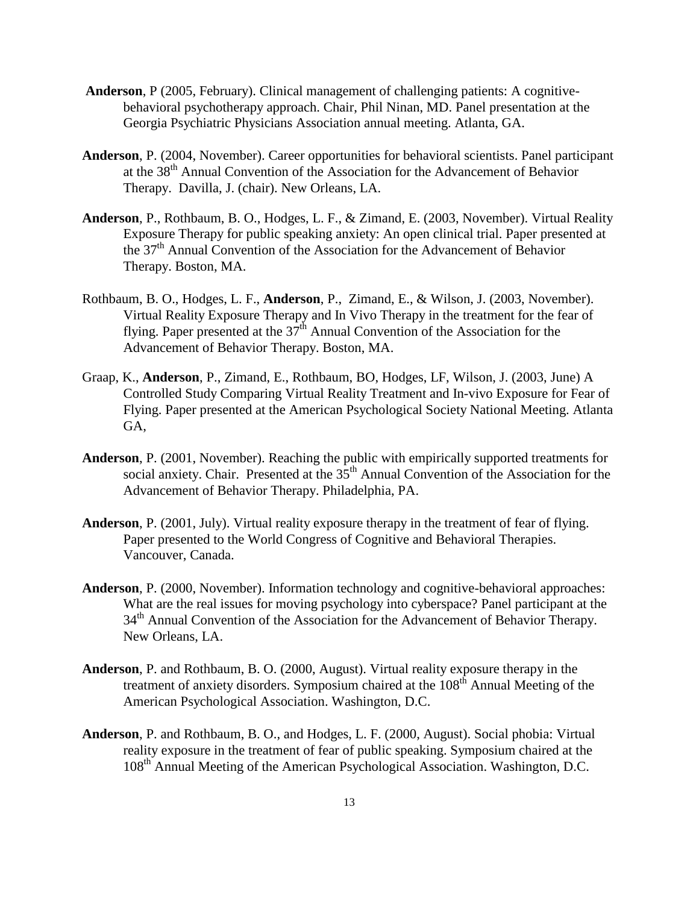- **Anderson**, P (2005, February). Clinical management of challenging patients: A cognitivebehavioral psychotherapy approach. Chair, Phil Ninan, MD. Panel presentation at the Georgia Psychiatric Physicians Association annual meeting. Atlanta, GA.
- **Anderson**, P. (2004, November). Career opportunities for behavioral scientists. Panel participant at the 38<sup>th</sup> Annual Convention of the Association for the Advancement of Behavior Therapy. Davilla, J. (chair). New Orleans, LA.
- **Anderson**, P., Rothbaum, B. O., Hodges, L. F., & Zimand, E. (2003, November). Virtual Reality Exposure Therapy for public speaking anxiety: An open clinical trial. Paper presented at the 37th Annual Convention of the Association for the Advancement of Behavior Therapy. Boston, MA.
- Rothbaum, B. O., Hodges, L. F., **Anderson**, P., Zimand, E., & Wilson, J. (2003, November). Virtual Reality Exposure Therapy and In Vivo Therapy in the treatment for the fear of flying. Paper presented at the  $37<sup>th</sup>$  Annual Convention of the Association for the Advancement of Behavior Therapy. Boston, MA.
- Graap, K., **Anderson**, P., Zimand, E., Rothbaum, BO, Hodges, LF, Wilson, J. (2003, June) A Controlled Study Comparing Virtual Reality Treatment and In-vivo Exposure for Fear of Flying. Paper presented at the American Psychological Society National Meeting. Atlanta GA,
- **Anderson**, P. (2001, November). Reaching the public with empirically supported treatments for social anxiety. Chair. Presented at the  $35<sup>th</sup>$  Annual Convention of the Association for the Advancement of Behavior Therapy. Philadelphia, PA.
- **Anderson**, P. (2001, July). Virtual reality exposure therapy in the treatment of fear of flying. Paper presented to the World Congress of Cognitive and Behavioral Therapies. Vancouver, Canada.
- **Anderson**, P. (2000, November). Information technology and cognitive-behavioral approaches: What are the real issues for moving psychology into cyberspace? Panel participant at the 34<sup>th</sup> Annual Convention of the Association for the Advancement of Behavior Therapy. New Orleans, LA.
- **Anderson**, P. and Rothbaum, B. O. (2000, August). Virtual reality exposure therapy in the treatment of anxiety disorders. Symposium chaired at the 108<sup>th</sup> Annual Meeting of the American Psychological Association. Washington, D.C.
- **Anderson**, P. and Rothbaum, B. O., and Hodges, L. F. (2000, August). Social phobia: Virtual reality exposure in the treatment of fear of public speaking. Symposium chaired at the 108th Annual Meeting of the American Psychological Association. Washington, D.C.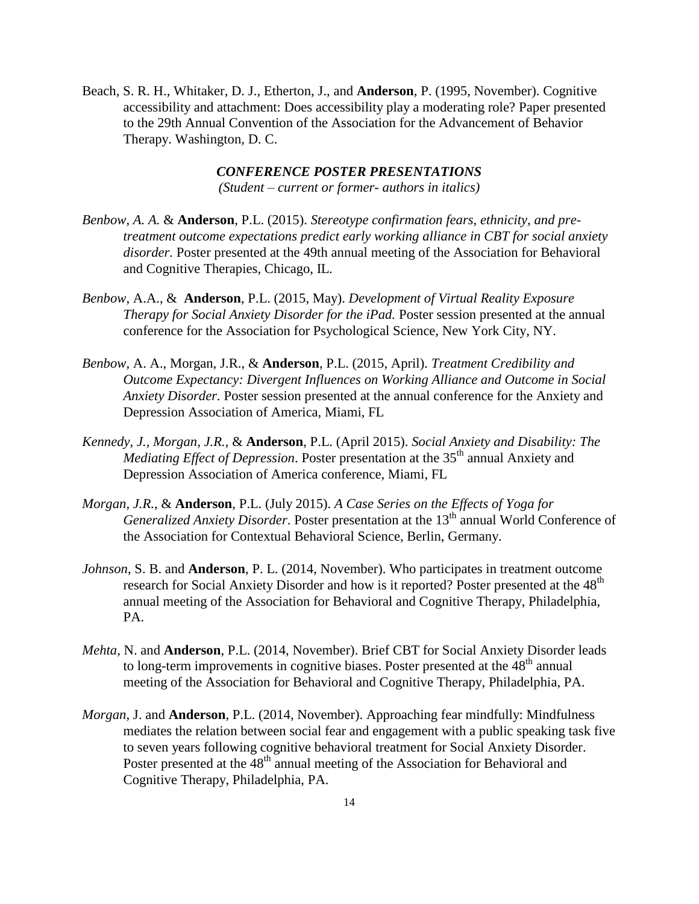Beach, S. R. H., Whitaker, D. J., Etherton, J., and **Anderson**, P. (1995, November). Cognitive accessibility and attachment: Does accessibility play a moderating role? Paper presented to the 29th Annual Convention of the Association for the Advancement of Behavior Therapy. Washington, D. C.

## *CONFERENCE POSTER PRESENTATIONS*

*(Student – current or former- authors in italics)*

- *Benbow, A. A.* & **Anderson**, P.L. (2015). *Stereotype confirmation fears, ethnicity, and pretreatment outcome expectations predict early working alliance in CBT for social anxiety disorder.* Poster presented at the 49th annual meeting of the Association for Behavioral and Cognitive Therapies, Chicago, IL.
- *Benbow*, A.A., & **Anderson**, P.L. (2015, May). *Development of Virtual Reality Exposure Therapy for Social Anxiety Disorder for the iPad.* Poster session presented at the annual conference for the Association for Psychological Science, New York City, NY.
- *Benbow*, A. A., Morgan, J.R., & **Anderson**, P.L. (2015, April). *Treatment Credibility and Outcome Expectancy: Divergent Influences on Working Alliance and Outcome in Social Anxiety Disorder.* Poster session presented at the annual conference for the Anxiety and Depression Association of America, Miami, FL
- *Kennedy, J., Morgan, J.R.,* & **Anderson**, P.L. (April 2015). *Social Anxiety and Disability: The Mediating Effect of Depression.* Poster presentation at the 35<sup>th</sup> annual Anxiety and Depression Association of America conference, Miami, FL
- *Morgan, J.R.*, & **Anderson**, P.L. (July 2015). *A Case Series on the Effects of Yoga for Generalized Anxiety Disorder.* Poster presentation at the 13<sup>th</sup> annual World Conference of the Association for Contextual Behavioral Science, Berlin, Germany.
- *Johnson*, S. B. and **Anderson**, P. L. (2014, November). Who participates in treatment outcome research for Social Anxiety Disorder and how is it reported? Poster presented at the 48<sup>th</sup> annual meeting of the Association for Behavioral and Cognitive Therapy, Philadelphia, PA.
- *Mehta*, N. and **Anderson**, P.L. (2014, November). Brief CBT for Social Anxiety Disorder leads to long-term improvements in cognitive biases. Poster presented at the  $48<sup>th</sup>$  annual meeting of the Association for Behavioral and Cognitive Therapy, Philadelphia, PA.
- *Morgan*, J. and **Anderson**, P.L. (2014, November). Approaching fear mindfully: Mindfulness mediates the relation between social fear and engagement with a public speaking task five to seven years following cognitive behavioral treatment for Social Anxiety Disorder. Poster presented at the 48<sup>th</sup> annual meeting of the Association for Behavioral and Cognitive Therapy, Philadelphia, PA.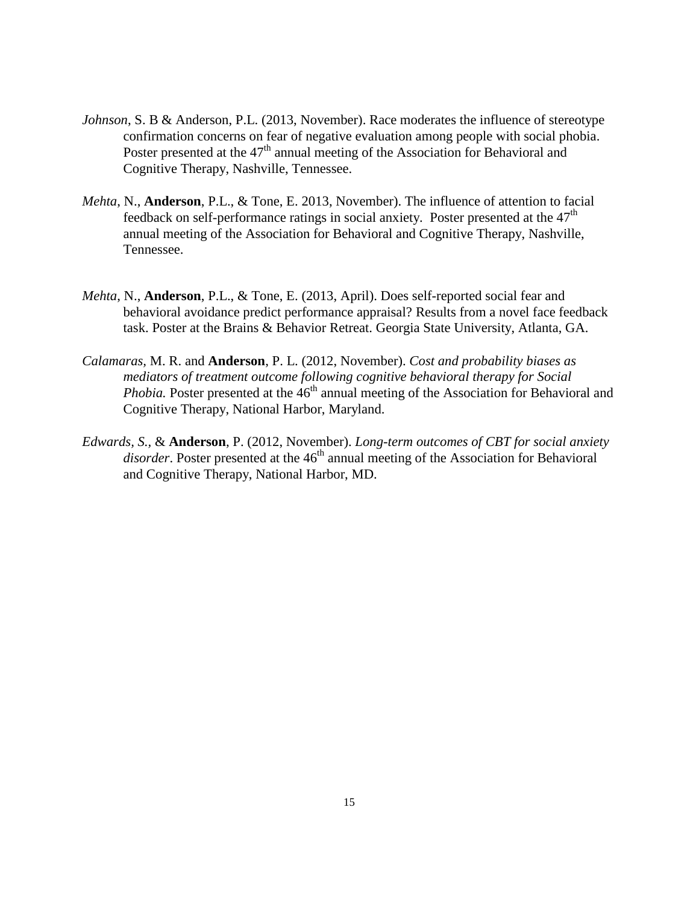- *Johnson*, S. B & Anderson, P.L. (2013, November). Race moderates the influence of stereotype confirmation concerns on fear of negative evaluation among people with social phobia. Poster presented at the 47<sup>th</sup> annual meeting of the Association for Behavioral and Cognitive Therapy, Nashville, Tennessee.
- *Mehta*, N., **Anderson**, P.L., & Tone, E. 2013, November). The influence of attention to facial feedback on self-performance ratings in social anxiety. Poster presented at the  $47<sup>th</sup>$ annual meeting of the Association for Behavioral and Cognitive Therapy, Nashville, Tennessee.
- *Mehta*, N., **Anderson**, P.L., & Tone, E. (2013, April). Does self-reported social fear and behavioral avoidance predict performance appraisal? Results from a novel face feedback task. Poster at the Brains & Behavior Retreat. Georgia State University, Atlanta, GA.
- *Calamaras,* M. R. and **Anderson**, P. L. (2012, November). *Cost and probability biases as mediators of treatment outcome following cognitive behavioral therapy for Social Phobia.* Poster presented at the  $46<sup>th</sup>$  annual meeting of the Association for Behavioral and Cognitive Therapy, National Harbor, Maryland.
- *Edwards, S.,* & **Anderson**, P. (2012, November). *Long-term outcomes of CBT for social anxiety disorder*. Poster presented at the 46<sup>th</sup> annual meeting of the Association for Behavioral and Cognitive Therapy, National Harbor, MD.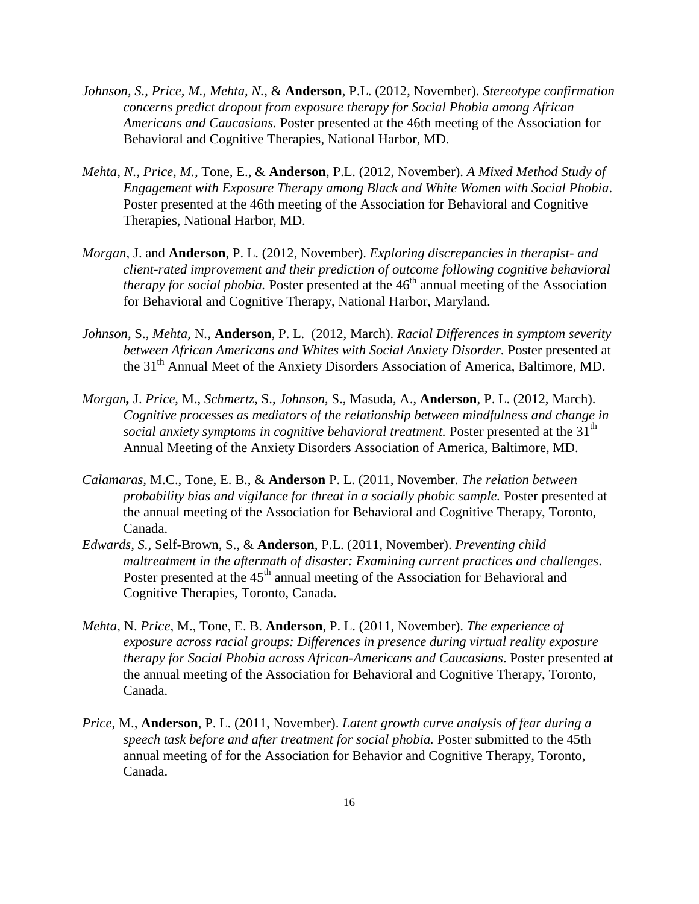- *Johnson, S., Price, M., Mehta, N.,* & **Anderson**, P.L. (2012, November). *Stereotype confirmation concerns predict dropout from exposure therapy for Social Phobia among African Americans and Caucasians.* Poster presented at the 46th meeting of the Association for Behavioral and Cognitive Therapies, National Harbor, MD.
- *Mehta, N., Price, M.,* Tone, E., & **Anderson**, P.L. (2012, November). *A Mixed Method Study of Engagement with Exposure Therapy among Black and White Women with Social Phobia*. Poster presented at the 46th meeting of the Association for Behavioral and Cognitive Therapies, National Harbor, MD.
- *Morgan*, J. and **Anderson**, P. L. (2012, November). *Exploring discrepancies in therapist- and client-rated improvement and their prediction of outcome following cognitive behavioral therapy for social phobia.* Poster presented at the  $46<sup>th</sup>$  annual meeting of the Association for Behavioral and Cognitive Therapy, National Harbor, Maryland.
- *Johnson*, S., *Mehta,* N*.,* **Anderson**, P. L. (2012, March). *Racial Differences in symptom severity between African Americans and Whites with Social Anxiety Disorder.* Poster presented at the 31<sup>th</sup> Annual Meet of the Anxiety Disorders Association of America, Baltimore, MD.
- *Morgan,* J. *Price*, M., *Schmertz*, S., *Johnson*, S., Masuda, A., **Anderson**, P. L. (2012, March). *Cognitive processes as mediators of the relationship between mindfulness and change in social anxiety symptoms in cognitive behavioral treatment.* Poster presented at the 31<sup>th</sup> Annual Meeting of the Anxiety Disorders Association of America, Baltimore, MD.
- *Calamaras,* M.C., Tone, E. B., & **Anderson** P. L. (2011, November. *The relation between probability bias and vigilance for threat in a socially phobic sample.* Poster presented at the annual meeting of the Association for Behavioral and Cognitive Therapy, Toronto, Canada.
- *Edwards, S.,* Self-Brown, S., & **Anderson**, P.L. (2011, November). *Preventing child maltreatment in the aftermath of disaster: Examining current practices and challenges*. Poster presented at the 45<sup>th</sup> annual meeting of the Association for Behavioral and Cognitive Therapies, Toronto, Canada.
- *Mehta*, N. *Price*, M., Tone, E. B. **Anderson**, P. L. (2011, November). *The experience of exposure across racial groups: Differences in presence during virtual reality exposure therapy for Social Phobia across African-Americans and Caucasians*. Poster presented at the annual meeting of the Association for Behavioral and Cognitive Therapy, Toronto, Canada.
- *Price*, M., **Anderson**, P. L. (2011, November). *Latent growth curve analysis of fear during a speech task before and after treatment for social phobia.* Poster submitted to the 45th annual meeting of for the Association for Behavior and Cognitive Therapy, Toronto, Canada.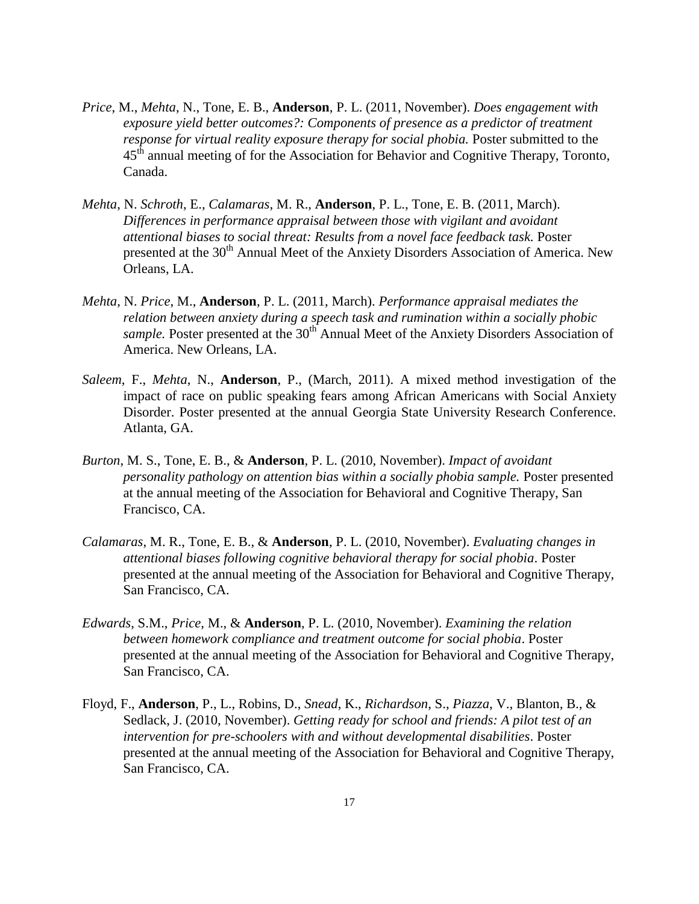- *Price*, M., *Mehta*, N., Tone, E. B., **Anderson**, P. L. (2011, November). *Does engagement with exposure yield better outcomes?: Components of presence as a predictor of treatment response for virtual reality exposure therapy for social phobia.* Poster submitted to the 45<sup>th</sup> annual meeting of for the Association for Behavior and Cognitive Therapy, Toronto, Canada.
- *Mehta*, N. *Schroth*, E., *Calamaras*, M. R., **Anderson**, P. L., Tone, E. B. (2011, March). *Differences in performance appraisal between those with vigilant and avoidant attentional biases to social threat: Results from a novel face feedback task.* Poster presented at the 30<sup>th</sup> Annual Meet of the Anxiety Disorders Association of America. New Orleans, LA.
- *Mehta*, N. *Price*, M., **Anderson**, P. L. (2011, March). *Performance appraisal mediates the relation between anxiety during a speech task and rumination within a socially phobic sample*. Poster presented at the 30<sup>th</sup> Annual Meet of the Anxiety Disorders Association of America. New Orleans, LA.
- *Saleem*, F., *Mehta*, N., **Anderson**, P., (March, 2011). A mixed method investigation of the impact of race on public speaking fears among African Americans with Social Anxiety Disorder. Poster presented at the annual Georgia State University Research Conference. Atlanta, GA.
- *Burton*, M. S., Tone, E. B., & **Anderson**, P. L. (2010, November). *Impact of avoidant personality pathology on attention bias within a socially phobia sample.* Poster presented at the annual meeting of the Association for Behavioral and Cognitive Therapy, San Francisco, CA.
- *Calamaras*, M. R., Tone, E. B., & **Anderson**, P. L. (2010, November). *Evaluating changes in attentional biases following cognitive behavioral therapy for social phobia*. Poster presented at the annual meeting of the Association for Behavioral and Cognitive Therapy, San Francisco, CA.
- *Edwards*, S.M., *Price*, M., & **Anderson**, P. L. (2010, November). *Examining the relation between homework compliance and treatment outcome for social phobia*. Poster presented at the annual meeting of the Association for Behavioral and Cognitive Therapy, San Francisco, CA.
- Floyd, F., **Anderson**, P., L., Robins, D., *Snead*, K., *Richardson*, S., *Piazza*, V., Blanton, B., & Sedlack, J. (2010, November). *Getting ready for school and friends: A pilot test of an intervention for pre-schoolers with and without developmental disabilities*. Poster presented at the annual meeting of the Association for Behavioral and Cognitive Therapy, San Francisco, CA.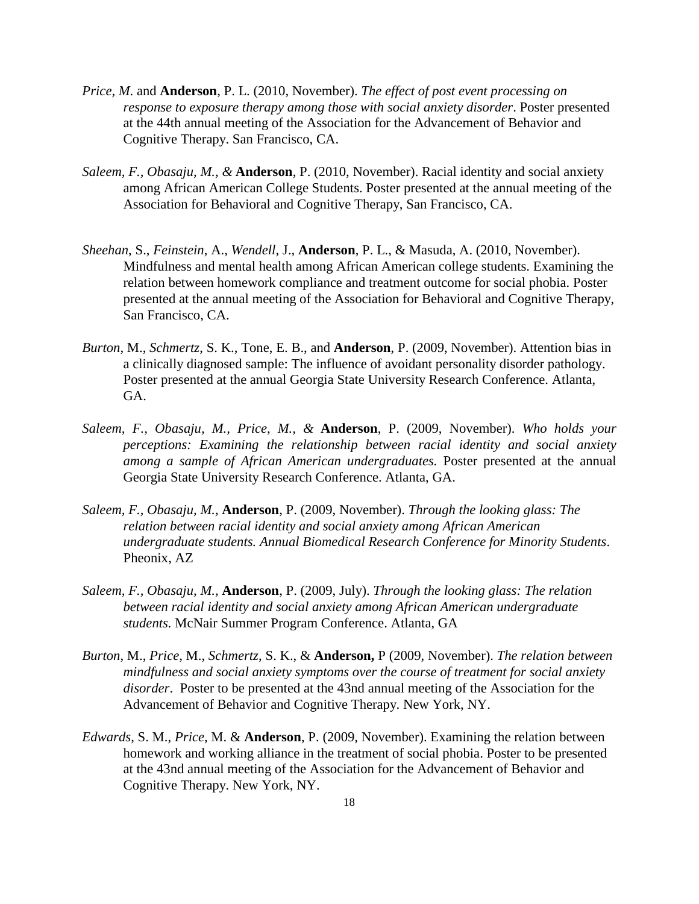- *Price, M*. and **Anderson**, P. L. (2010, November). *The effect of post event processing on response to exposure therapy among those with social anxiety disorder*. Poster presented at the 44th annual meeting of the Association for the Advancement of Behavior and Cognitive Therapy. San Francisco, CA.
- *Saleem, F., Obasaju, M., &* **Anderson**, P. (2010, November). Racial identity and social anxiety among African American College Students. Poster presented at the annual meeting of the Association for Behavioral and Cognitive Therapy, San Francisco, CA.
- *Sheehan*, S., *Feinstein*, A., *Wendell*, J., **Anderson**, P. L., & Masuda, A. (2010, November). Mindfulness and mental health among African American college students. Examining the relation between homework compliance and treatment outcome for social phobia. Poster presented at the annual meeting of the Association for Behavioral and Cognitive Therapy, San Francisco, CA.
- *Burton*, M., *Schmertz*, S. K., Tone, E. B., and **Anderson**, P. (2009, November). Attention bias in a clinically diagnosed sample: The influence of avoidant personality disorder pathology. Poster presented at the annual Georgia State University Research Conference. Atlanta, GA.
- *Saleem, F., Obasaju, M., Price, M., &* **Anderson**, P. (2009, November). *Who holds your perceptions: Examining the relationship between racial identity and social anxiety among a sample of African American undergraduates.* Poster presented at the annual Georgia State University Research Conference. Atlanta, GA.
- *Saleem, F., Obasaju, M.,* **Anderson**, P. (2009, November). *Through the looking glass: The relation between racial identity and social anxiety among African American undergraduate students. Annual Biomedical Research Conference for Minority Students*. Pheonix, AZ
- *Saleem, F., Obasaju, M.,* **Anderson**, P. (2009, July). *Through the looking glass: The relation between racial identity and social anxiety among African American undergraduate students.* McNair Summer Program Conference. Atlanta, GA
- *Burton*, M., *Price,* M., *Schmertz*, S. K., & **Anderson,** P (2009, November). *The relation between mindfulness and social anxiety symptoms over the course of treatment for social anxiety disorder*. Poster to be presented at the 43nd annual meeting of the Association for the Advancement of Behavior and Cognitive Therapy. New York, NY.
- *Edwards*, S. M., *Price*, M. & **Anderson**, P. (2009, November). Examining the relation between homework and working alliance in the treatment of social phobia. Poster to be presented at the 43nd annual meeting of the Association for the Advancement of Behavior and Cognitive Therapy. New York, NY.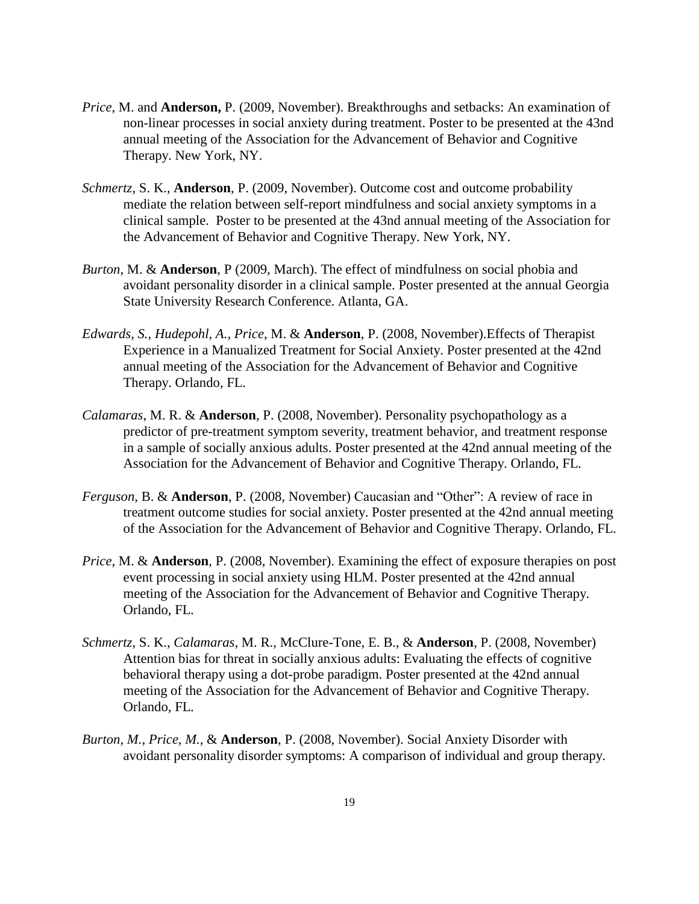- *Price*, M. and **Anderson,** P. (2009, November). Breakthroughs and setbacks: An examination of non-linear processes in social anxiety during treatment. Poster to be presented at the 43nd annual meeting of the Association for the Advancement of Behavior and Cognitive Therapy. New York, NY.
- *Schmertz*, S. K., **Anderson**, P. (2009, November). Outcome cost and outcome probability mediate the relation between self-report mindfulness and social anxiety symptoms in a clinical sample. Poster to be presented at the 43nd annual meeting of the Association for the Advancement of Behavior and Cognitive Therapy. New York, NY.
- *Burton*, M. & **Anderson**, P (2009, March). The effect of mindfulness on social phobia and avoidant personality disorder in a clinical sample. Poster presented at the annual Georgia State University Research Conference. Atlanta, GA.
- *Edwards, S., Hudepohl, A., Price*, M. & **Anderson**, P. (2008, November).Effects of Therapist Experience in a Manualized Treatment for Social Anxiety. Poster presented at the 42nd annual meeting of the Association for the Advancement of Behavior and Cognitive Therapy. Orlando, FL.
- *Calamaras*, M. R. & **Anderson**, P. (2008, November). Personality psychopathology as a predictor of pre-treatment symptom severity, treatment behavior, and treatment response in a sample of socially anxious adults. Poster presented at the 42nd annual meeting of the Association for the Advancement of Behavior and Cognitive Therapy. Orlando, FL.
- *Ferguson*, B. & **Anderson**, P. (2008, November) Caucasian and "Other": A review of race in treatment outcome studies for social anxiety. Poster presented at the 42nd annual meeting of the Association for the Advancement of Behavior and Cognitive Therapy. Orlando, FL.
- *Price*, M. & **Anderson**, P. (2008, November). Examining the effect of exposure therapies on post event processing in social anxiety using HLM. Poster presented at the 42nd annual meeting of the Association for the Advancement of Behavior and Cognitive Therapy. Orlando, FL.
- *Schmertz*, S. K., *Calamaras*, M. R., McClure-Tone, E. B., & **Anderson**, P. (2008, November) Attention bias for threat in socially anxious adults: Evaluating the effects of cognitive behavioral therapy using a dot-probe paradigm. Poster presented at the 42nd annual meeting of the Association for the Advancement of Behavior and Cognitive Therapy. Orlando, FL.
- *Burton, M., Price, M.,* & **Anderson**, P. (2008, November). Social Anxiety Disorder with avoidant personality disorder symptoms: A comparison of individual and group therapy.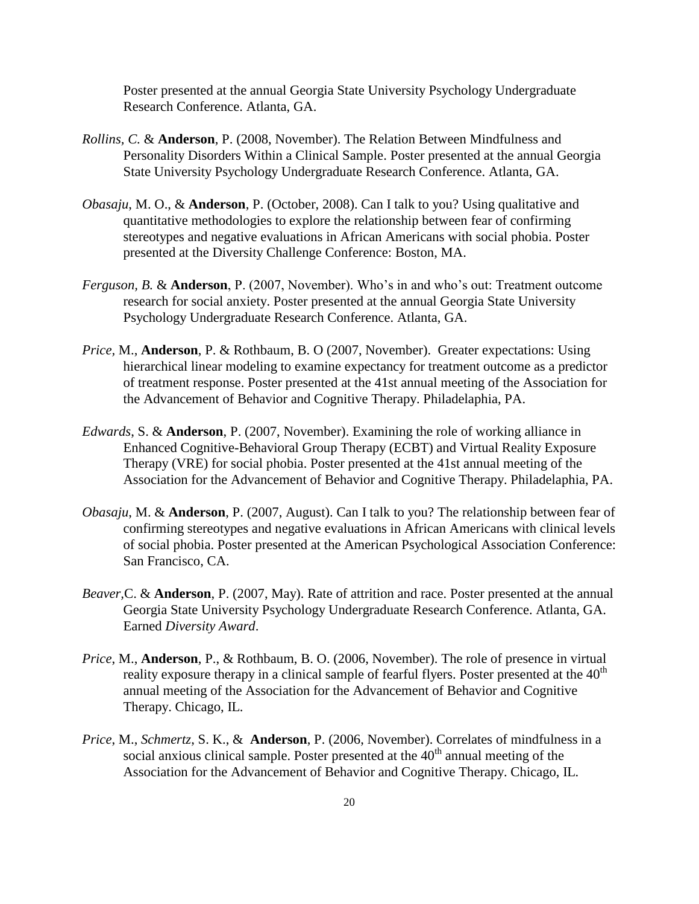Poster presented at the annual Georgia State University Psychology Undergraduate Research Conference. Atlanta, GA.

- *Rollins, C.* & **Anderson**, P. (2008, November). The Relation Between Mindfulness and Personality Disorders Within a Clinical Sample. Poster presented at the annual Georgia State University Psychology Undergraduate Research Conference. Atlanta, GA.
- *Obasaju*, M. O., & **Anderson**, P. (October, 2008). Can I talk to you? Using qualitative and quantitative methodologies to explore the relationship between fear of confirming stereotypes and negative evaluations in African Americans with social phobia. Poster presented at the Diversity Challenge Conference: Boston, MA.
- *Ferguson, B.* & **Anderson**, P. (2007, November). Who's in and who's out: Treatment outcome research for social anxiety. Poster presented at the annual Georgia State University Psychology Undergraduate Research Conference. Atlanta, GA.
- *Price,* M., **Anderson**, P. & Rothbaum, B. O (2007, November). Greater expectations: Using hierarchical linear modeling to examine expectancy for treatment outcome as a predictor of treatment response. Poster presented at the 41st annual meeting of the Association for the Advancement of Behavior and Cognitive Therapy. Philadelaphia, PA.
- *Edwards*, S. & **Anderson**, P. (2007, November). Examining the role of working alliance in Enhanced Cognitive-Behavioral Group Therapy (ECBT) and Virtual Reality Exposure Therapy (VRE) for social phobia. Poster presented at the 41st annual meeting of the Association for the Advancement of Behavior and Cognitive Therapy. Philadelaphia, PA.
- *Obasaju*, M. & **Anderson**, P. (2007, August). Can I talk to you? The relationship between fear of confirming stereotypes and negative evaluations in African Americans with clinical levels of social phobia. Poster presented at the American Psychological Association Conference: San Francisco, CA.
- *Beaver,*C. & **Anderson**, P. (2007, May). Rate of attrition and race. Poster presented at the annual Georgia State University Psychology Undergraduate Research Conference. Atlanta, GA. Earned *Diversity Award*.
- *Price*, M., **Anderson**, P., & Rothbaum, B. O. (2006, November). The role of presence in virtual reality exposure therapy in a clinical sample of fearful flyers. Poster presented at the  $40<sup>th</sup>$ annual meeting of the Association for the Advancement of Behavior and Cognitive Therapy. Chicago, IL.
- *Price*, M., *Schmertz*, S. K., & **Anderson**, P. (2006, November). Correlates of mindfulness in a social anxious clinical sample. Poster presented at the  $40<sup>th</sup>$  annual meeting of the Association for the Advancement of Behavior and Cognitive Therapy. Chicago, IL.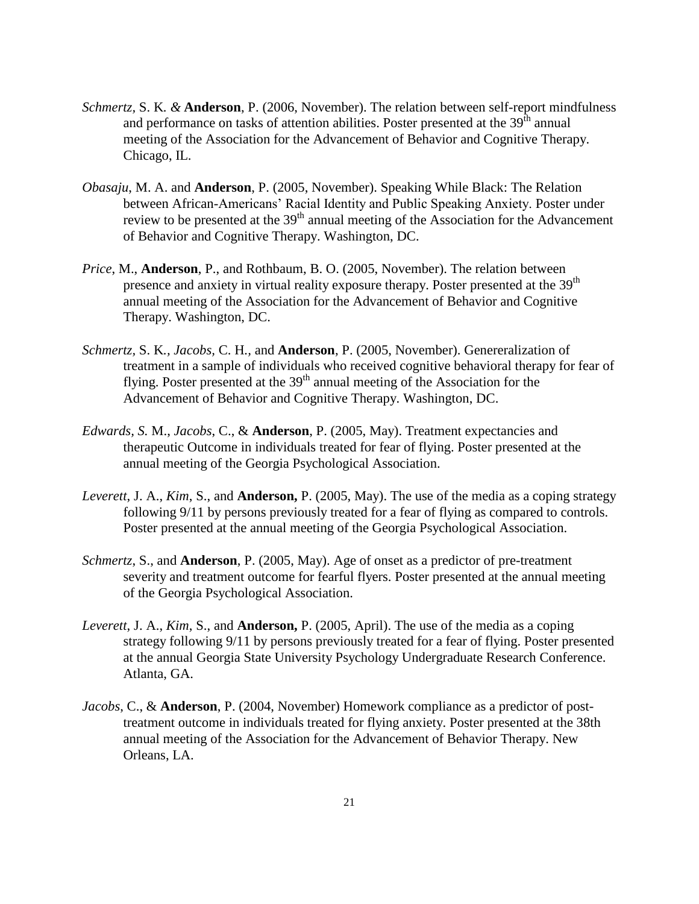- *Schmertz,* S. K*. &* **Anderson**, P. (2006, November). The relation between self-report mindfulness and performance on tasks of attention abilities. Poster presented at the  $39<sup>th</sup>$  annual meeting of the Association for the Advancement of Behavior and Cognitive Therapy. Chicago, IL.
- *Obasaju*, M. A. and **Anderson**, P. (2005, November). Speaking While Black: The Relation between African-Americans' Racial Identity and Public Speaking Anxiety. Poster under review to be presented at the 39<sup>th</sup> annual meeting of the Association for the Advancement of Behavior and Cognitive Therapy. Washington, DC.
- *Price*, M., **Anderson**, P., and Rothbaum, B. O. (2005, November). The relation between presence and anxiety in virtual reality exposure therapy. Poster presented at the 39<sup>th</sup> annual meeting of the Association for the Advancement of Behavior and Cognitive Therapy. Washington, DC.
- *Schmertz,* S. K*., Jacobs,* C. H*.,* and **Anderson**, P. (2005, November). Genereralization of treatment in a sample of individuals who received cognitive behavioral therapy for fear of flying. Poster presented at the  $39<sup>th</sup>$  annual meeting of the Association for the Advancement of Behavior and Cognitive Therapy. Washington, DC.
- *Edwards, S.* M., *Jacobs*, C., & **Anderson**, P. (2005, May). Treatment expectancies and therapeutic Outcome in individuals treated for fear of flying. Poster presented at the annual meeting of the Georgia Psychological Association.
- *Leverett*, J. A., *Kim*, S., and **Anderson,** P. (2005, May). The use of the media as a coping strategy following 9/11 by persons previously treated for a fear of flying as compared to controls. Poster presented at the annual meeting of the Georgia Psychological Association.
- *Schmertz*, S., and **Anderson**, P. (2005, May). Age of onset as a predictor of pre-treatment severity and treatment outcome for fearful flyers. Poster presented at the annual meeting of the Georgia Psychological Association.
- *Leverett*, J. A., *Kim*, S., and **Anderson,** P. (2005, April). The use of the media as a coping strategy following 9/11 by persons previously treated for a fear of flying. Poster presented at the annual Georgia State University Psychology Undergraduate Research Conference. Atlanta, GA.
- *Jacobs*, C., & **Anderson**, P. (2004, November) Homework compliance as a predictor of posttreatment outcome in individuals treated for flying anxiety. Poster presented at the 38th annual meeting of the Association for the Advancement of Behavior Therapy. New Orleans, LA.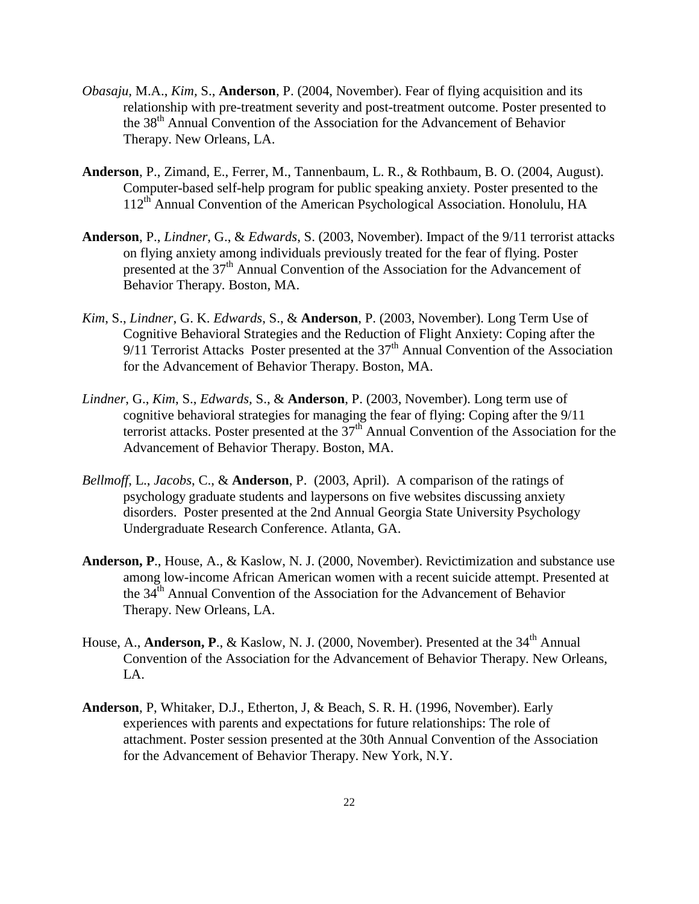- *Obasaju,* M.A., *Kim,* S., **Anderson**, P. (2004, November). Fear of flying acquisition and its relationship with pre-treatment severity and post-treatment outcome. Poster presented to the 38th Annual Convention of the Association for the Advancement of Behavior Therapy. New Orleans, LA.
- **Anderson**, P., Zimand, E., Ferrer, M., Tannenbaum, L. R., & Rothbaum, B. O. (2004, August). Computer-based self-help program for public speaking anxiety. Poster presented to the 112<sup>th</sup> Annual Convention of the American Psychological Association. Honolulu, HA
- **Anderson**, P., *Lindner*, G., & *Edwards*, S. (2003, November). Impact of the 9/11 terrorist attacks on flying anxiety among individuals previously treated for the fear of flying. Poster presented at the 37th Annual Convention of the Association for the Advancement of Behavior Therapy. Boston, MA.
- *Kim*, S., *Lindner*, G. K. *Edwards*, S., & **Anderson**, P. (2003, November). Long Term Use of Cognitive Behavioral Strategies and the Reduction of Flight Anxiety: Coping after the  $9/11$  Terrorist Attacks Poster presented at the  $37<sup>th</sup>$  Annual Convention of the Association for the Advancement of Behavior Therapy. Boston, MA.
- *Lindner*, G., *Kim*, S., *Edwards,* S., & **Anderson**, P. (2003, November). Long term use of cognitive behavioral strategies for managing the fear of flying: Coping after the 9/11 terrorist attacks. Poster presented at the  $37<sup>th</sup>$  Annual Convention of the Association for the Advancement of Behavior Therapy. Boston, MA.
- *Bellmoff*, L., *Jacobs*, C., & **Anderson**, P. (2003, April). A comparison of the ratings of psychology graduate students and laypersons on five websites discussing anxiety disorders. Poster presented at the 2nd Annual Georgia State University Psychology Undergraduate Research Conference. Atlanta, GA.
- **Anderson, P**., House, A., & Kaslow, N. J. (2000, November). Revictimization and substance use among low-income African American women with a recent suicide attempt. Presented at the 34<sup>th</sup> Annual Convention of the Association for the Advancement of Behavior Therapy. New Orleans, LA.
- House, A., **Anderson, P.**, & Kaslow, N. J. (2000, November). Presented at the 34<sup>th</sup> Annual Convention of the Association for the Advancement of Behavior Therapy. New Orleans, LA.
- **Anderson**, P, Whitaker, D.J., Etherton, J, & Beach, S. R. H. (1996, November). Early experiences with parents and expectations for future relationships: The role of attachment. Poster session presented at the 30th Annual Convention of the Association for the Advancement of Behavior Therapy. New York, N.Y.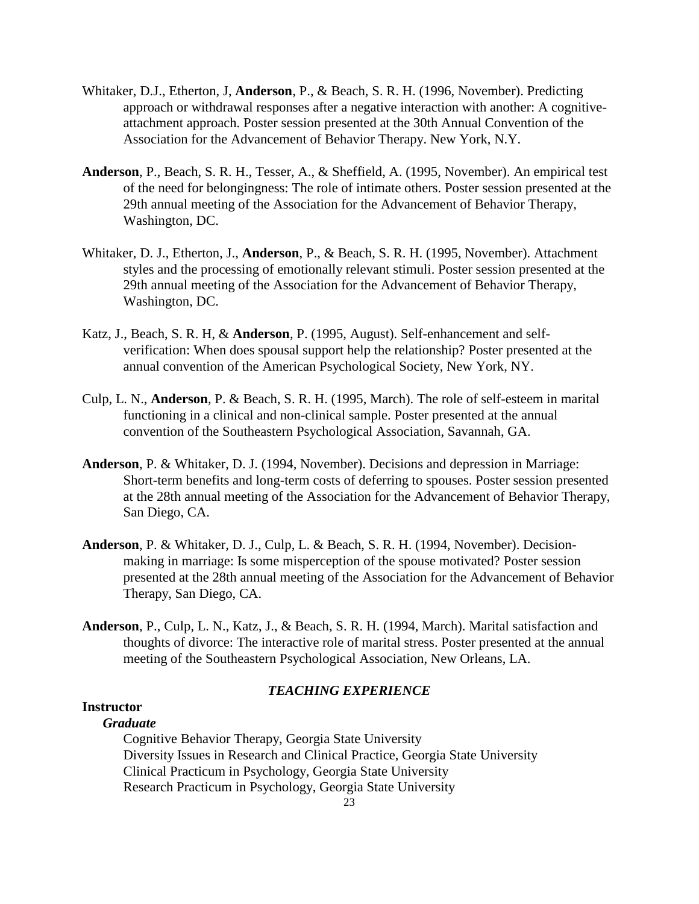- Whitaker, D.J., Etherton, J, **Anderson**, P., & Beach, S. R. H. (1996, November). Predicting approach or withdrawal responses after a negative interaction with another: A cognitiveattachment approach. Poster session presented at the 30th Annual Convention of the Association for the Advancement of Behavior Therapy. New York, N.Y.
- **Anderson**, P., Beach, S. R. H., Tesser, A., & Sheffield, A. (1995, November). An empirical test of the need for belongingness: The role of intimate others. Poster session presented at the 29th annual meeting of the Association for the Advancement of Behavior Therapy, Washington, DC.
- Whitaker, D. J., Etherton, J., **Anderson**, P., & Beach, S. R. H. (1995, November). Attachment styles and the processing of emotionally relevant stimuli. Poster session presented at the 29th annual meeting of the Association for the Advancement of Behavior Therapy, Washington, DC.
- Katz, J., Beach, S. R. H, & **Anderson**, P. (1995, August). Self-enhancement and selfverification: When does spousal support help the relationship? Poster presented at the annual convention of the American Psychological Society, New York, NY.
- Culp, L. N., **Anderson**, P. & Beach, S. R. H. (1995, March). The role of self-esteem in marital functioning in a clinical and non-clinical sample. Poster presented at the annual convention of the Southeastern Psychological Association, Savannah, GA.
- **Anderson**, P. & Whitaker, D. J. (1994, November). Decisions and depression in Marriage: Short-term benefits and long-term costs of deferring to spouses. Poster session presented at the 28th annual meeting of the Association for the Advancement of Behavior Therapy, San Diego, CA.
- **Anderson**, P. & Whitaker, D. J., Culp, L. & Beach, S. R. H. (1994, November). Decisionmaking in marriage: Is some misperception of the spouse motivated? Poster session presented at the 28th annual meeting of the Association for the Advancement of Behavior Therapy, San Diego, CA.
- **Anderson**, P., Culp, L. N., Katz, J., & Beach, S. R. H. (1994, March). Marital satisfaction and thoughts of divorce: The interactive role of marital stress. Poster presented at the annual meeting of the Southeastern Psychological Association, New Orleans, LA.

# *TEACHING EXPERIENCE*

## **Instructor**

# *Graduate*

Cognitive Behavior Therapy, Georgia State University Diversity Issues in Research and Clinical Practice, Georgia State University Clinical Practicum in Psychology, Georgia State University Research Practicum in Psychology, Georgia State University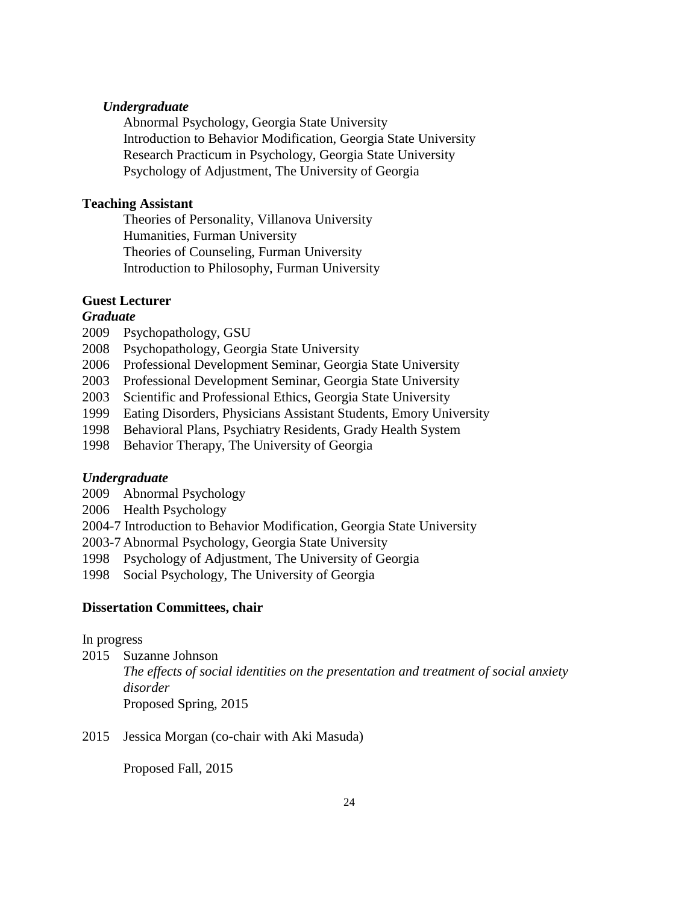## *Undergraduate*

Abnormal Psychology, Georgia State University Introduction to Behavior Modification, Georgia State University Research Practicum in Psychology, Georgia State University Psychology of Adjustment, The University of Georgia

## **Teaching Assistant**

Theories of Personality, Villanova University Humanities, Furman University Theories of Counseling, Furman University Introduction to Philosophy, Furman University

# **Guest Lecturer**

## *Graduate*

- 2009 Psychopathology, GSU
- 2008 Psychopathology, Georgia State University
- 2006 Professional Development Seminar, Georgia State University
- 2003 Professional Development Seminar, Georgia State University
- 2003 Scientific and Professional Ethics, Georgia State University
- 1999 Eating Disorders, Physicians Assistant Students, Emory University
- 1998 Behavioral Plans, Psychiatry Residents, Grady Health System
- 1998 Behavior Therapy, The University of Georgia

#### *Undergraduate*

- 2009 Abnormal Psychology
- 2006 Health Psychology
- 2004-7 Introduction to Behavior Modification, Georgia State University
- 2003-7 Abnormal Psychology, Georgia State University
- 1998 Psychology of Adjustment, The University of Georgia
- 1998 Social Psychology, The University of Georgia

#### **Dissertation Committees, chair**

In progress

2015 Suzanne Johnson

*The effects of social identities on the presentation and treatment of social anxiety disorder* Proposed Spring, 2015

2015 Jessica Morgan (co-chair with Aki Masuda)

Proposed Fall, 2015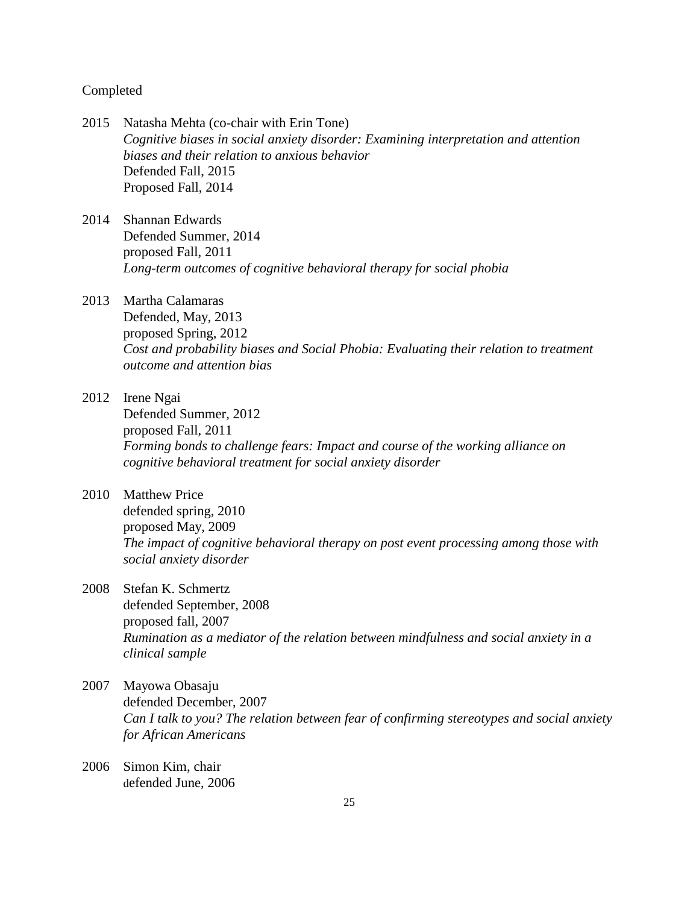#### Completed

- 2015 Natasha Mehta (co-chair with Erin Tone) *Cognitive biases in social anxiety disorder: Examining interpretation and attention biases and their relation to anxious behavior* Defended Fall, 2015 Proposed Fall, 2014
- 2014 Shannan Edwards Defended Summer, 2014 proposed Fall, 2011 *Long-term outcomes of cognitive behavioral therapy for social phobia*

# 2013 Martha Calamaras

Defended, May, 2013 proposed Spring, 2012 *Cost and probability biases and Social Phobia: Evaluating their relation to treatment outcome and attention bias*

- 2012 Irene Ngai Defended Summer, 2012 proposed Fall, 2011 *Forming bonds to challenge fears: Impact and course of the working alliance on cognitive behavioral treatment for social anxiety disorder*
- 2010 Matthew Price defended spring, 2010 proposed May, 2009 *The impact of cognitive behavioral therapy on post event processing among those with social anxiety disorder*
- 2008 Stefan K. Schmertz defended September, 2008 proposed fall, 2007 *Rumination as a mediator of the relation between mindfulness and social anxiety in a clinical sample*
- 2007 Mayowa Obasaju defended December, 2007 *Can I talk to you? The relation between fear of confirming stereotypes and social anxiety for African Americans*
- 2006 Simon Kim, chair defended June, 2006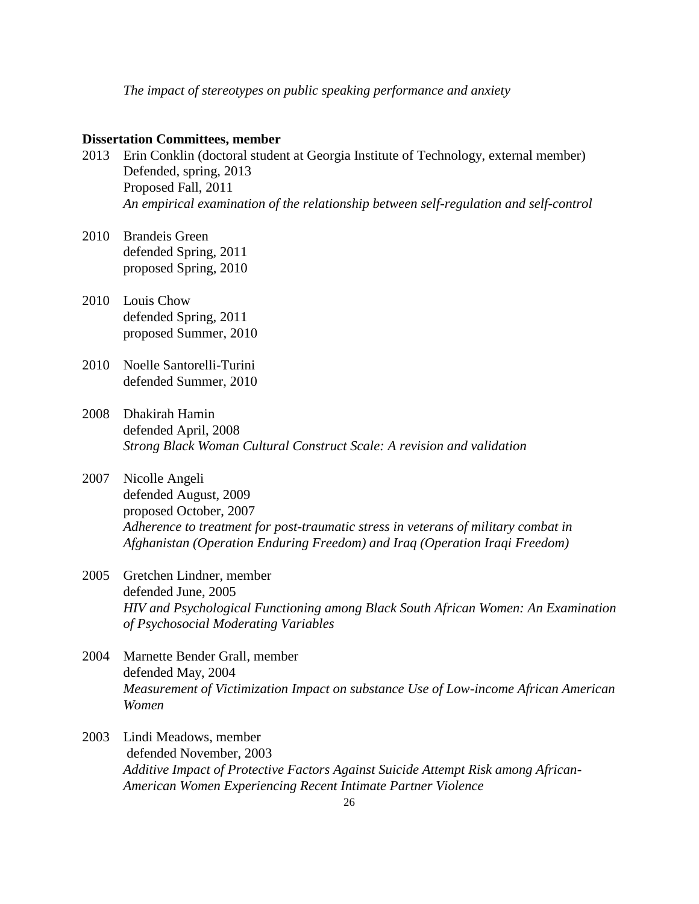*The impact of stereotypes on public speaking performance and anxiety*

#### **Dissertation Committees, member**

- 2013 Erin Conklin (doctoral student at Georgia Institute of Technology, external member) Defended, spring, 2013 Proposed Fall, 2011 *An empirical examination of the relationship between self-regulation and self-control*
- 2010 Brandeis Green defended Spring, 2011 proposed Spring, 2010
- 2010 Louis Chow defended Spring, 2011 proposed Summer, 2010
- 2010 Noelle Santorelli-Turini defended Summer, 2010
- 2008 Dhakirah Hamin defended April, 2008 *Strong Black Woman Cultural Construct Scale: A revision and validation*
- 2007 Nicolle Angeli defended August, 2009 proposed October, 2007 *Adherence to treatment for post-traumatic stress in veterans of military combat in Afghanistan (Operation Enduring Freedom) and Iraq (Operation Iraqi Freedom)*
- 2005 Gretchen Lindner, member defended June, 2005 *HIV and Psychological Functioning among Black South African Women: An Examination of Psychosocial Moderating Variables*
- 2004 Marnette Bender Grall, member defended May, 2004 *Measurement of Victimization Impact on substance Use of Low-income African American Women*
- 2003 Lindi Meadows, member defended November, 2003 *Additive Impact of Protective Factors Against Suicide Attempt Risk among African-American Women Experiencing Recent Intimate Partner Violence*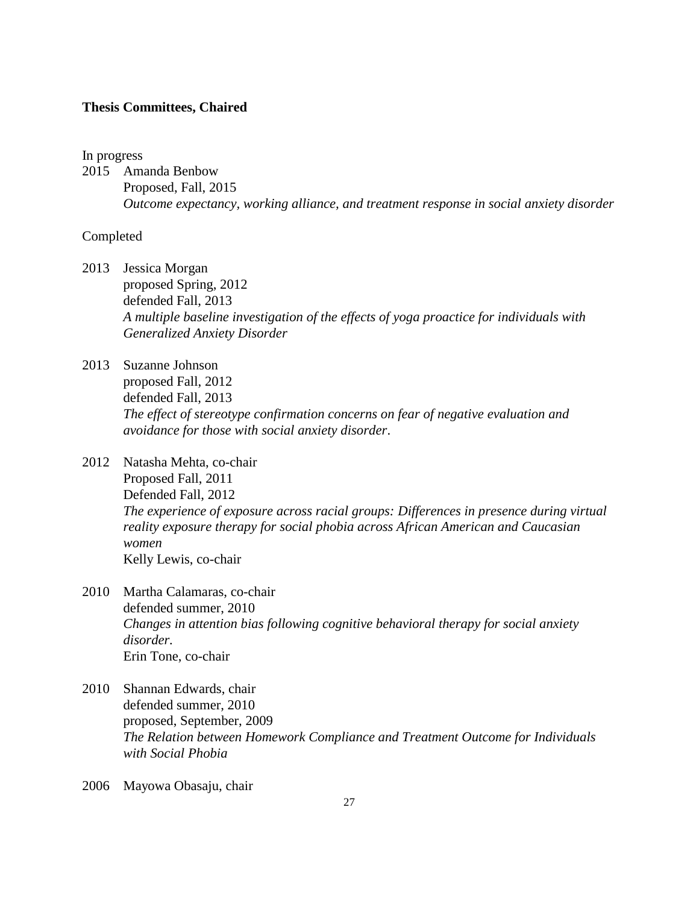#### **Thesis Committees, Chaired**

#### In progress

2015 Amanda Benbow Proposed, Fall, 2015 *Outcome expectancy, working alliance, and treatment response in social anxiety disorder*

### Completed

2013 Jessica Morgan

proposed Spring, 2012 defended Fall, 2013 *A multiple baseline investigation of the effects of yoga proactice for individuals with Generalized Anxiety Disorder*

- 2013 Suzanne Johnson proposed Fall, 2012 defended Fall, 2013 *The effect of stereotype confirmation concerns on fear of negative evaluation and avoidance for those with social anxiety disorder*.
- 2012 Natasha Mehta, co-chair Proposed Fall, 2011 Defended Fall, 2012 *The experience of exposure across racial groups: Differences in presence during virtual reality exposure therapy for social phobia across African American and Caucasian women* Kelly Lewis, co-chair
- 2010 Martha Calamaras, co-chair defended summer, 2010 *Changes in attention bias following cognitive behavioral therapy for social anxiety disorder.* Erin Tone, co-chair
- 2010 Shannan Edwards, chair defended summer, 2010 proposed, September, 2009 *The Relation between Homework Compliance and Treatment Outcome for Individuals with Social Phobia*
- 2006 Mayowa Obasaju, chair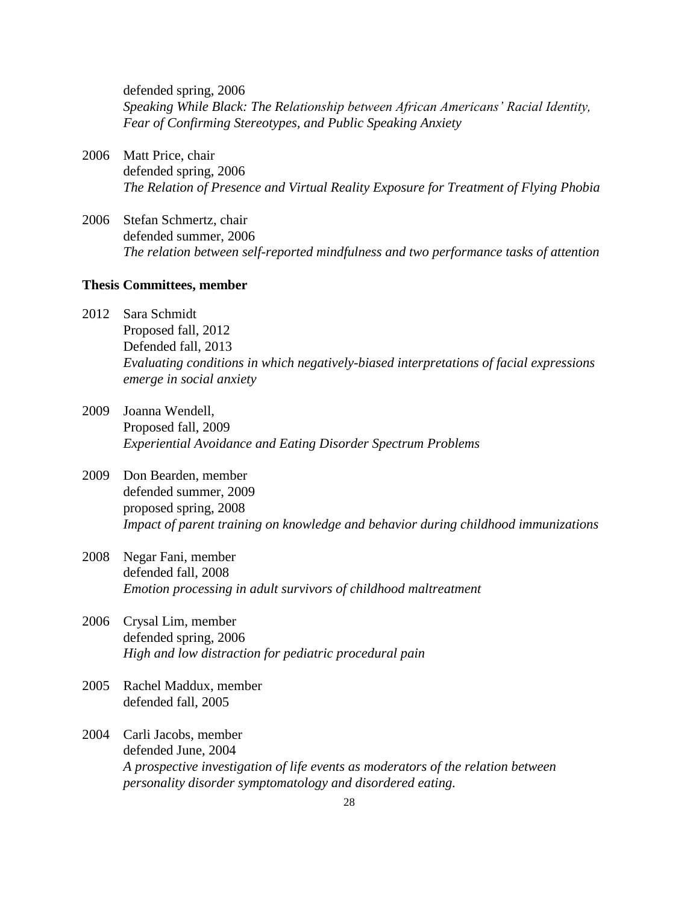defended spring, 2006 *Speaking While Black: The Relationship between African Americans' Racial Identity, Fear of Confirming Stereotypes, and Public Speaking Anxiety*

- 2006 Matt Price, chair defended spring, 2006 *The Relation of Presence and Virtual Reality Exposure for Treatment of Flying Phobia*
- 2006 Stefan Schmertz, chair defended summer, 2006 *The relation between self-reported mindfulness and two performance tasks of attention*

## **Thesis Committees, member**

- 2012 Sara Schmidt Proposed fall, 2012 Defended fall, 2013 *Evaluating conditions in which negatively-biased interpretations of facial expressions emerge in social anxiety*
- 2009 Joanna Wendell, Proposed fall, 2009 *Experiential Avoidance and Eating Disorder Spectrum Problems*
- 2009 Don Bearden, member defended summer, 2009 proposed spring, 2008 *Impact of parent training on knowledge and behavior during childhood immunizations*
- 2008 Negar Fani, member defended fall, 2008 *Emotion processing in adult survivors of childhood maltreatment*
- 2006 Crysal Lim, member defended spring, 2006 *High and low distraction for pediatric procedural pain*
- 2005 Rachel Maddux, member defended fall, 2005
- 2004 Carli Jacobs, member defended June, 2004 *A prospective investigation of life events as moderators of the relation between personality disorder symptomatology and disordered eating.*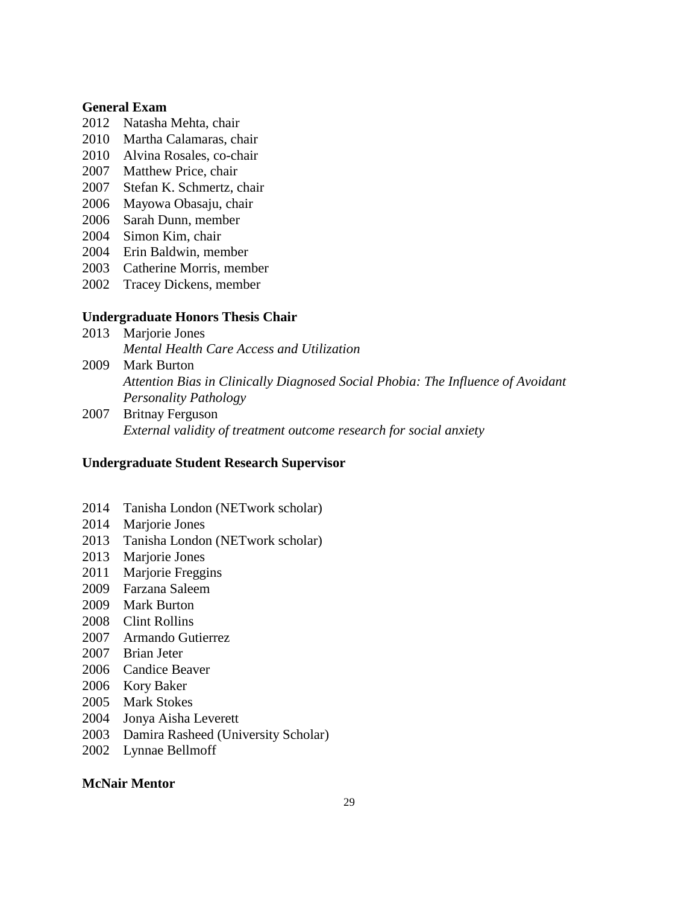## **General Exam**

- Natasha Mehta, chair
- Martha Calamaras, chair
- Alvina Rosales, co-chair
- Matthew Price, chair
- Stefan K. Schmertz, chair
- Mayowa Obasaju, chair
- Sarah Dunn, member
- Simon Kim, chair
- Erin Baldwin, member
- Catherine Morris, member
- Tracey Dickens, member

### **Undergraduate Honors Thesis Chair**

- 2013 Marjorie Jones *Mental Health Care Access and Utilization*
- Mark Burton *Attention Bias in Clinically Diagnosed Social Phobia: The Influence of Avoidant Personality Pathology*
- Britnay Ferguson *External validity of treatment outcome research for social anxiety*

#### **Undergraduate Student Research Supervisor**

- Tanisha London (NETwork scholar)
- 2014 Marjorie Jones
- Tanisha London (NETwork scholar)
- 2013 Marjorie Jones
- Marjorie Freggins
- Farzana Saleem
- Mark Burton
- Clint Rollins
- Armando Gutierrez
- Brian Jeter
- Candice Beaver
- Kory Baker
- 2005 Mark Stokes
- 2004 Jonya Aisha Leverett
- Damira Rasheed (University Scholar)
- Lynnae Bellmoff

### **McNair Mentor**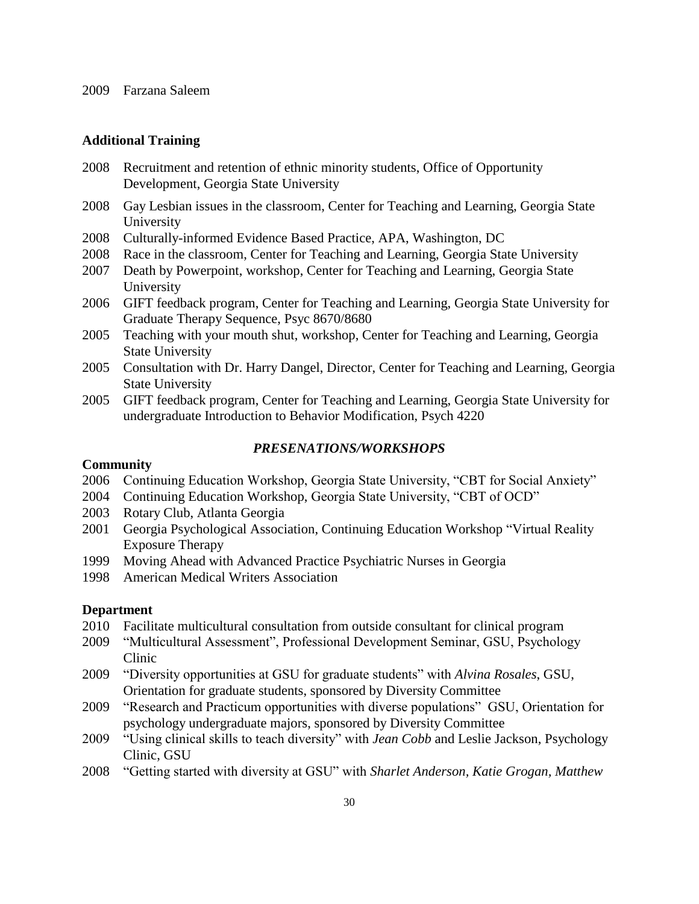## **Additional Training**

- 2008 Recruitment and retention of ethnic minority students, Office of Opportunity Development, Georgia State University
- 2008 Gay Lesbian issues in the classroom, Center for Teaching and Learning, Georgia State University
- 2008 Culturally-informed Evidence Based Practice, APA, Washington, DC
- 2008 Race in the classroom, Center for Teaching and Learning, Georgia State University
- 2007 Death by Powerpoint, workshop, Center for Teaching and Learning, Georgia State University
- 2006 GIFT feedback program, Center for Teaching and Learning, Georgia State University for Graduate Therapy Sequence, Psyc 8670/8680
- 2005 Teaching with your mouth shut, workshop, Center for Teaching and Learning, Georgia State University
- 2005 Consultation with Dr. Harry Dangel, Director, Center for Teaching and Learning, Georgia State University
- 2005 GIFT feedback program, Center for Teaching and Learning, Georgia State University for undergraduate Introduction to Behavior Modification, Psych 4220

#### *PRESENATIONS/WORKSHOPS*

#### **Community**

- 2006 Continuing Education Workshop, Georgia State University, "CBT for Social Anxiety"
- 2004 Continuing Education Workshop, Georgia State University, "CBT of OCD"
- 2003 Rotary Club, Atlanta Georgia
- 2001 Georgia Psychological Association, Continuing Education Workshop "Virtual Reality Exposure Therapy
- 1999 Moving Ahead with Advanced Practice Psychiatric Nurses in Georgia
- 1998 American Medical Writers Association

### **Department**

- 2010 Facilitate multicultural consultation from outside consultant for clinical program
- 2009 "Multicultural Assessment", Professional Development Seminar, GSU, Psychology Clinic
- 2009 "Diversity opportunities at GSU for graduate students" with *Alvina Rosales*, GSU, Orientation for graduate students, sponsored by Diversity Committee
- 2009 "Research and Practicum opportunities with diverse populations" GSU, Orientation for psychology undergraduate majors, sponsored by Diversity Committee
- 2009 "Using clinical skills to teach diversity" with *Jean Cobb* and Leslie Jackson, Psychology Clinic, GSU
- 2008 "Getting started with diversity at GSU" with *Sharlet Anderson, Katie Grogan, Matthew*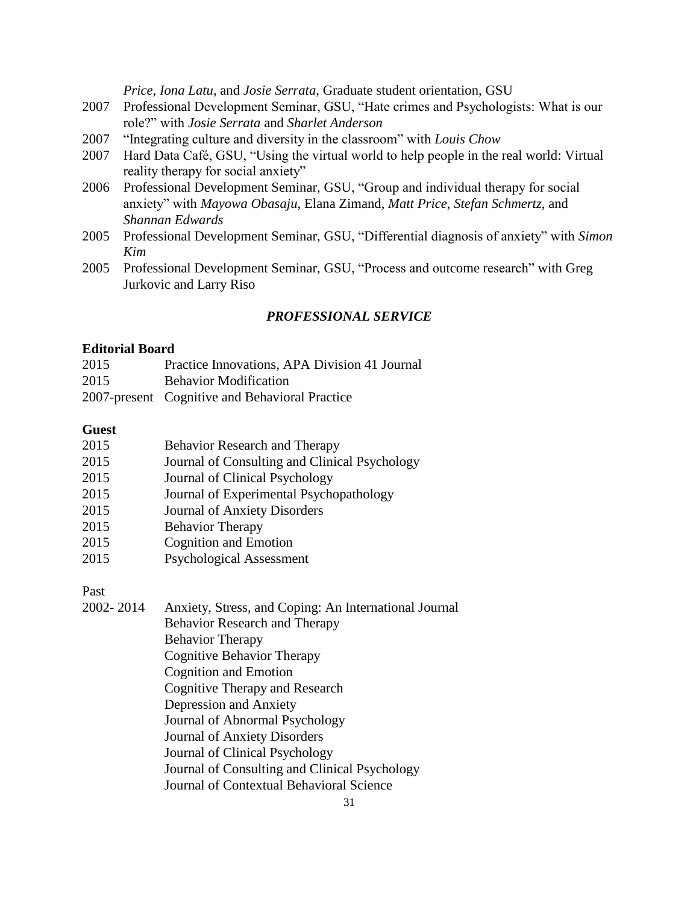*Price, Iona Latu*, and *Josie Serrata,* Graduate student orientation, GSU

- 2007 Professional Development Seminar, GSU, "Hate crimes and Psychologists: What is our role?" with *Josie Serrata* and *Sharlet Anderson*
- 2007 "Integrating culture and diversity in the classroom" with *Louis Chow*
- 2007 Hard Data Café, GSU, "Using the virtual world to help people in the real world: Virtual reality therapy for social anxiety"
- 2006 Professional Development Seminar, GSU, "Group and individual therapy for social anxiety" with *Mayowa Obasaju*, Elana Zimand, *Matt Price*, *Stefan Schmertz*, and *Shannan Edwards*
- 2005 Professional Development Seminar, GSU, "Differential diagnosis of anxiety" with *Simon Kim*
- 2005 Professional Development Seminar, GSU, "Process and outcome research" with Greg Jurkovic and Larry Riso

# *PROFESSIONAL SERVICE*

### **Editorial Board**

| 2015 | Practice Innovations, APA Division 41 Journal  |
|------|------------------------------------------------|
| 2015 | <b>Behavior Modification</b>                   |
|      | 2007-present Cognitive and Behavioral Practice |

## **Guest**

| 2015 | Behavior Research and Therapy                 |
|------|-----------------------------------------------|
| 2015 | Journal of Consulting and Clinical Psychology |
| 2015 | Journal of Clinical Psychology                |
| 2015 | Journal of Experimental Psychopathology       |
| 2015 | Journal of Anxiety Disorders                  |
| 2015 | <b>Behavior Therapy</b>                       |
| 2015 | <b>Cognition and Emotion</b>                  |
|      |                                               |

2015 Psychological Assessment

Past

| 2002-2014 | Anxiety, Stress, and Coping: An International Journal |
|-----------|-------------------------------------------------------|
|           | <b>Behavior Research and Therapy</b>                  |
|           | <b>Behavior Therapy</b>                               |
|           | Cognitive Behavior Therapy                            |
|           | <b>Cognition and Emotion</b>                          |
|           | Cognitive Therapy and Research                        |
|           | Depression and Anxiety                                |
|           | Journal of Abnormal Psychology                        |
|           | <b>Journal of Anxiety Disorders</b>                   |
|           | Journal of Clinical Psychology                        |
|           | Journal of Consulting and Clinical Psychology         |
|           | Journal of Contextual Behavioral Science              |
|           |                                                       |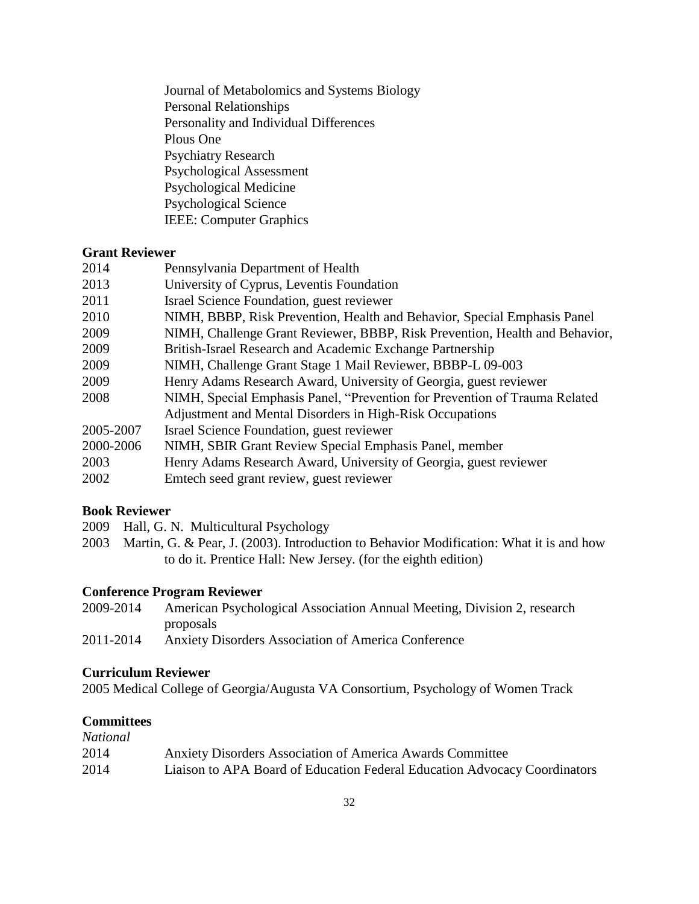Journal of Metabolomics and Systems Biology Personal Relationships Personality and Individual Differences Plous One Psychiatry Research Psychological Assessment Psychological Medicine Psychological Science IEEE: Computer Graphics

# **Grant Reviewer**

| 2014      | Pennsylvania Department of Health                                           |
|-----------|-----------------------------------------------------------------------------|
| 2013      | University of Cyprus, Leventis Foundation                                   |
| 2011      | Israel Science Foundation, guest reviewer                                   |
| 2010      | NIMH, BBBP, Risk Prevention, Health and Behavior, Special Emphasis Panel    |
| 2009      | NIMH, Challenge Grant Reviewer, BBBP, Risk Prevention, Health and Behavior, |
| 2009      | British-Israel Research and Academic Exchange Partnership                   |
| 2009      | NIMH, Challenge Grant Stage 1 Mail Reviewer, BBBP-L 09-003                  |
| 2009      | Henry Adams Research Award, University of Georgia, guest reviewer           |
| 2008      | NIMH, Special Emphasis Panel, "Prevention for Prevention of Trauma Related  |
|           | Adjustment and Mental Disorders in High-Risk Occupations                    |
| 2005-2007 | Israel Science Foundation, guest reviewer                                   |
| 2000-2006 | NIMH, SBIR Grant Review Special Emphasis Panel, member                      |
| 2003      | Henry Adams Research Award, University of Georgia, guest reviewer           |
| 2002      | Emtech seed grant review, guest reviewer                                    |
|           |                                                                             |

# **Book Reviewer**

- 2009 Hall, G. N. Multicultural Psychology
- 2003 Martin, G. & Pear, J. (2003). Introduction to Behavior Modification: What it is and how to do it. Prentice Hall: New Jersey. (for the eighth edition)

# **Conference Program Reviewer**

- 2009-2014 American Psychological Association Annual Meeting, Division 2, research proposals
- 2011-2014 Anxiety Disorders Association of America Conference

# **Curriculum Reviewer**

2005 Medical College of Georgia/Augusta VA Consortium, Psychology of Women Track

# **Committees**

| National |                                                                           |
|----------|---------------------------------------------------------------------------|
| 2014     | Anxiety Disorders Association of America Awards Committee                 |
| 2014     | Liaison to APA Board of Education Federal Education Advocacy Coordinators |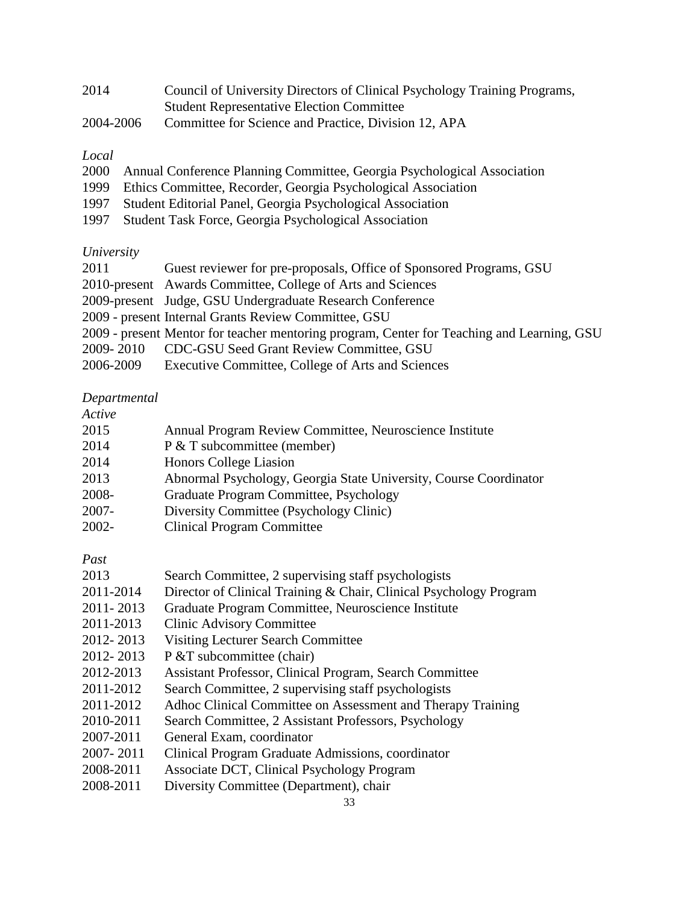| 2014      | Council of University Directors of Clinical Psychology Training Programs, |
|-----------|---------------------------------------------------------------------------|
|           | <b>Student Representative Election Committee</b>                          |
| 2004-2006 | Committee for Science and Practice, Division 12, APA                      |

# *Local*

- 2000 Annual Conference Planning Committee, Georgia Psychological Association
- 1999 Ethics Committee, Recorder, Georgia Psychological Association
- 1997 Student Editorial Panel, Georgia Psychological Association
- 1997 Student Task Force, Georgia Psychological Association

# *University*

| 2011      | Guest reviewer for pre-proposals, Office of Sponsored Programs, GSU                        |
|-----------|--------------------------------------------------------------------------------------------|
|           | 2010-present Awards Committee, College of Arts and Sciences                                |
|           | 2009-present Judge, GSU Undergraduate Research Conference                                  |
|           | 2009 - present Internal Grants Review Committee, GSU                                       |
|           | 2009 - present Mentor for teacher mentoring program, Center for Teaching and Learning, GSU |
|           | 2009-2010 CDC-GSU Seed Grant Review Committee, GSU                                         |
| 2006-2009 | Executive Committee, College of Arts and Sciences                                          |

# *Departmental*

# *Active*

| 11 U U V U |                                                                   |
|------------|-------------------------------------------------------------------|
| 2015       | Annual Program Review Committee, Neuroscience Institute           |
| 2014       | P & T subcommittee (member)                                       |
| 2014       | Honors College Liasion                                            |
| 2013       | Abnormal Psychology, Georgia State University, Course Coordinator |
| 2008-      | Graduate Program Committee, Psychology                            |
| $2007 -$   | Diversity Committee (Psychology Clinic)                           |
|            |                                                                   |

2002- Clinical Program Committee

*Past*

| 2013 | Search Committee, 2 supervising staff psychologists |  |
|------|-----------------------------------------------------|--|
|      |                                                     |  |

- 2011-2014 Director of Clinical Training & Chair, Clinical Psychology Program
- 2011- 2013 Graduate Program Committee, Neuroscience Institute
- 2011-2013 Clinic Advisory Committee
- 2012- 2013 Visiting Lecturer Search Committee
- 2012- 2013 P & T subcommittee (chair)
- 2012-2013 Assistant Professor, Clinical Program, Search Committee
- 2011-2012 Search Committee, 2 supervising staff psychologists
- 2011-2012 Adhoc Clinical Committee on Assessment and Therapy Training
- 2010-2011 Search Committee, 2 Assistant Professors, Psychology
- 2007-2011 General Exam, coordinator
- 2007- 2011 Clinical Program Graduate Admissions, coordinator
- 2008-2011 Associate DCT, Clinical Psychology Program
- 2008-2011 Diversity Committee (Department), chair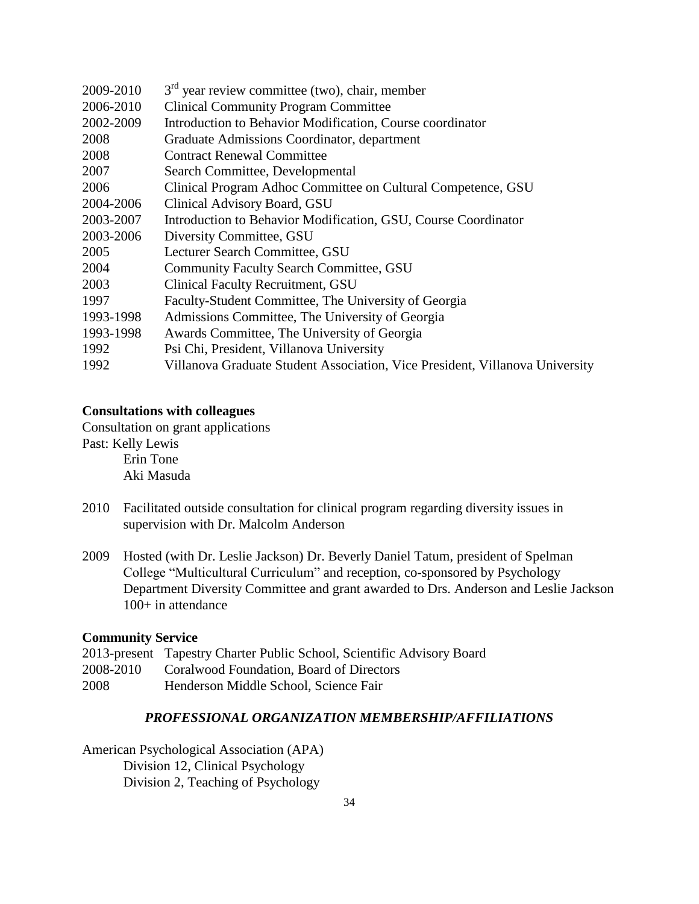| 2009-2010 | $3rd$ year review committee (two), chair, member                             |
|-----------|------------------------------------------------------------------------------|
| 2006-2010 | <b>Clinical Community Program Committee</b>                                  |
| 2002-2009 | Introduction to Behavior Modification, Course coordinator                    |
| 2008      | Graduate Admissions Coordinator, department                                  |
| 2008      | <b>Contract Renewal Committee</b>                                            |
| 2007      | Search Committee, Developmental                                              |
| 2006      | Clinical Program Adhoc Committee on Cultural Competence, GSU                 |
| 2004-2006 | Clinical Advisory Board, GSU                                                 |
| 2003-2007 | Introduction to Behavior Modification, GSU, Course Coordinator               |
| 2003-2006 | Diversity Committee, GSU                                                     |
| 2005      | Lecturer Search Committee, GSU                                               |
| 2004      | <b>Community Faculty Search Committee, GSU</b>                               |
| 2003      | <b>Clinical Faculty Recruitment, GSU</b>                                     |
| 1997      | Faculty-Student Committee, The University of Georgia                         |
| 1993-1998 | Admissions Committee, The University of Georgia                              |
| 1993-1998 | Awards Committee, The University of Georgia                                  |
| 1992      | Psi Chi, President, Villanova University                                     |
| 1992      | Villanova Graduate Student Association, Vice President, Villanova University |

### **Consultations with colleagues**

Consultation on grant applications Past: Kelly Lewis Erin Tone Aki Masuda

- 2010 Facilitated outside consultation for clinical program regarding diversity issues in supervision with Dr. Malcolm Anderson
- 2009 Hosted (with Dr. Leslie Jackson) Dr. Beverly Daniel Tatum, president of Spelman College "Multicultural Curriculum" and reception, co-sponsored by Psychology Department Diversity Committee and grant awarded to Drs. Anderson and Leslie Jackson 100+ in attendance

## **Community Service**

|           | 2013-present Tapestry Charter Public School, Scientific Advisory Board |
|-----------|------------------------------------------------------------------------|
| 2008-2010 | Coralwood Foundation, Board of Directors                               |
| 2008      | Henderson Middle School, Science Fair                                  |

# *PROFESSIONAL ORGANIZATION MEMBERSHIP/AFFILIATIONS*

American Psychological Association (APA) Division 12, Clinical Psychology Division 2, Teaching of Psychology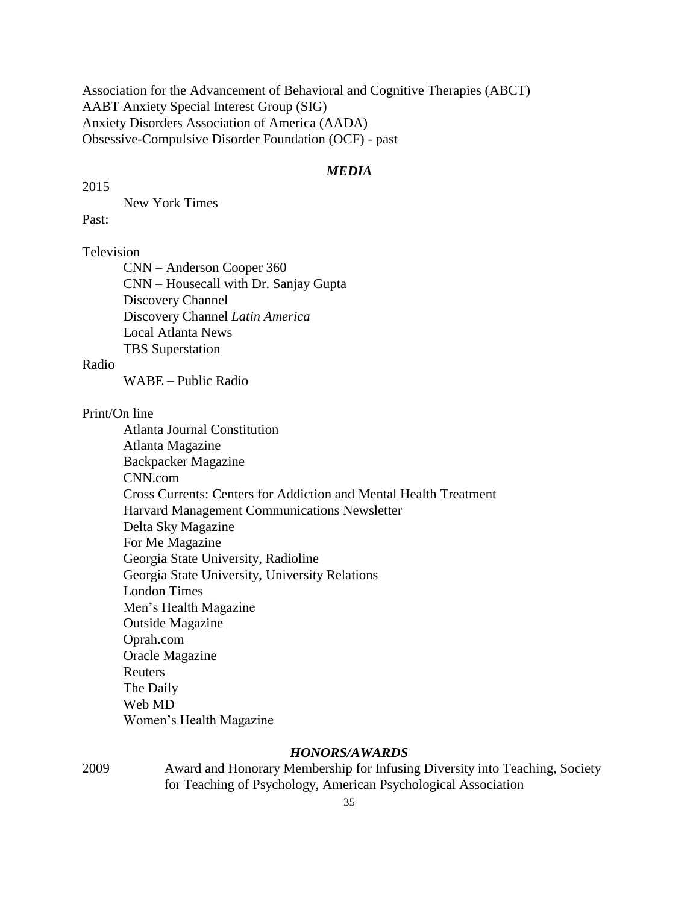Association for the Advancement of Behavioral and Cognitive Therapies (ABCT) AABT Anxiety Special Interest Group (SIG) Anxiety Disorders Association of America (AADA) Obsessive-Compulsive Disorder Foundation (OCF) - past

## *MEDIA*

2015

New York Times

Past:

# Television

CNN – Anderson Cooper 360 CNN – Housecall with Dr. Sanjay Gupta Discovery Channel Discovery Channel *Latin America* Local Atlanta News TBS Superstation

Radio

WABE – Public Radio

Print/On line

Atlanta Journal Constitution Atlanta Magazine Backpacker Magazine CNN.com Cross Currents: Centers for Addiction and Mental Health Treatment Harvard Management Communications Newsletter Delta Sky Magazine For Me Magazine Georgia State University, Radioline Georgia State University, University Relations London Times Men's Health Magazine Outside Magazine Oprah.com Oracle Magazine Reuters The Daily Web MD Women's Health Magazine

### *HONORS/AWARDS*

2009 Award and Honorary Membership for Infusing Diversity into Teaching, Society for Teaching of Psychology, American Psychological Association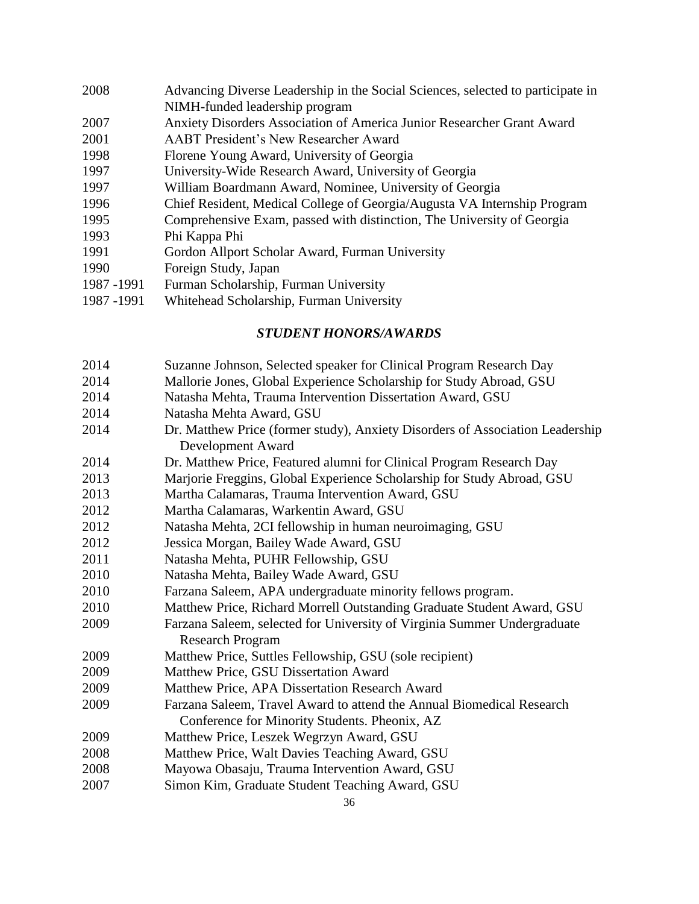Advancing Diverse Leadership in the Social Sciences, selected to participate in NIMH-funded leadership program Anxiety Disorders Association of America Junior Researcher Grant Award AABT President's New Researcher Award Florene Young Award, University of Georgia 1997 University-Wide Research Award, University of Georgia 1997 1997 William Boardmann Award, Nominee, University of Georgia 1996 Chief Resident, Medical College of Georgia/Augusta VA Internship Program 1995 Comprehensive Exam, passed with distinction, The University of Georgia 1995 1993 Phi Kappa Phi 1991 Gordon Allport Scholar Award, Furman University Foreign Study, Japan 1991 1987 -1991 Furman Scholarship, Furman University 1987-1991 1987 -1991 Whitehead Scholarship, Furman University 1987-1991

# *STUDENT HONORS/AWARDS*

- Suzanne Johnson, Selected speaker for Clinical Program Research Day
- Mallorie Jones, Global Experience Scholarship for Study Abroad, GSU
- Natasha Mehta, Trauma Intervention Dissertation Award, GSU
- Natasha Mehta Award, GSU
- Dr. Matthew Price (former study), Anxiety Disorders of Association Leadership Development Award
- Dr. Matthew Price, Featured alumni for Clinical Program Research Day
- Marjorie Freggins, Global Experience Scholarship for Study Abroad, GSU
- Martha Calamaras, Trauma Intervention Award, GSU
- Martha Calamaras, Warkentin Award, GSU
- Natasha Mehta, 2CI fellowship in human neuroimaging, GSU
- Jessica Morgan, Bailey Wade Award, GSU
- Natasha Mehta, PUHR Fellowship, GSU
- Natasha Mehta, Bailey Wade Award, GSU
- Farzana Saleem, APA undergraduate minority fellows program.
- Matthew Price, Richard Morrell Outstanding Graduate Student Award, GSU
- Farzana Saleem, selected for University of Virginia Summer Undergraduate Research Program
- Matthew Price, Suttles Fellowship, GSU (sole recipient)
- Matthew Price, GSU Dissertation Award
- Matthew Price, APA Dissertation Research Award
- Farzana Saleem, Travel Award to attend the Annual Biomedical Research Conference for Minority Students. Pheonix, AZ
- Matthew Price, Leszek Wegrzyn Award, GSU
- Matthew Price, Walt Davies Teaching Award, GSU
- Mayowa Obasaju, Trauma Intervention Award, GSU
- Simon Kim, Graduate Student Teaching Award, GSU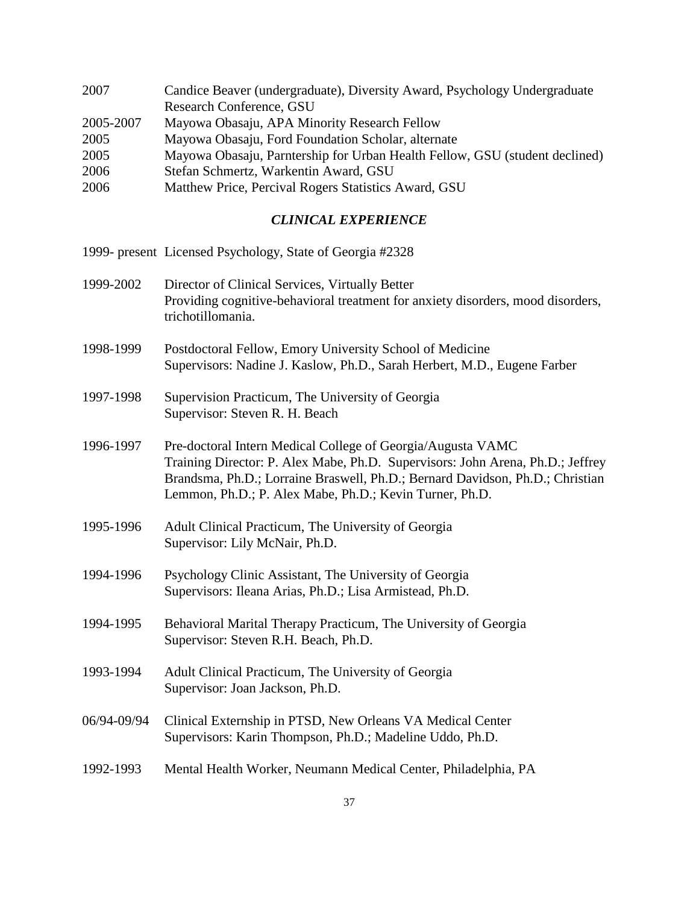| 2007      | Candice Beaver (undergraduate), Diversity Award, Psychology Undergraduate   |
|-----------|-----------------------------------------------------------------------------|
|           | Research Conference, GSU                                                    |
| 2005-2007 | Mayowa Obasaju, APA Minority Research Fellow                                |
| 2005      | Mayowa Obasaju, Ford Foundation Scholar, alternate                          |
| 2005      | Mayowa Obasaju, Parntership for Urban Health Fellow, GSU (student declined) |
| 2006      | Stefan Schmertz, Warkentin Award, GSU                                       |
| 2006      | Matthew Price, Percival Rogers Statistics Award, GSU                        |

### *CLINICAL EXPERIENCE*

- 1999- present Licensed Psychology, State of Georgia #2328
- 1999-2002 Director of Clinical Services, Virtually Better Providing cognitive-behavioral treatment for anxiety disorders, mood disorders, trichotillomania.
- 1998-1999 Postdoctoral Fellow, Emory University School of Medicine Supervisors: Nadine J. Kaslow, Ph.D., Sarah Herbert, M.D., Eugene Farber
- 1997-1998 Supervision Practicum, The University of Georgia Supervisor: Steven R. H. Beach
- 1996-1997 Pre-doctoral Intern Medical College of Georgia/Augusta VAMC Training Director: P. Alex Mabe, Ph.D. Supervisors: John Arena, Ph.D.; Jeffrey Brandsma, Ph.D.; Lorraine Braswell, Ph.D.; Bernard Davidson, Ph.D.; Christian Lemmon, Ph.D.; P. Alex Mabe, Ph.D.; Kevin Turner, Ph.D.
- 1995-1996 Adult Clinical Practicum, The University of Georgia Supervisor: Lily McNair, Ph.D.
- 1994-1996 Psychology Clinic Assistant, The University of Georgia Supervisors: Ileana Arias, Ph.D.; Lisa Armistead, Ph.D.
- 1994-1995 Behavioral Marital Therapy Practicum, The University of Georgia Supervisor: Steven R.H. Beach, Ph.D.
- 1993-1994 Adult Clinical Practicum, The University of Georgia Supervisor: Joan Jackson, Ph.D.
- 06/94-09/94 Clinical Externship in PTSD, New Orleans VA Medical Center Supervisors: Karin Thompson, Ph.D.; Madeline Uddo, Ph.D.
- 1992-1993 Mental Health Worker, Neumann Medical Center, Philadelphia, PA